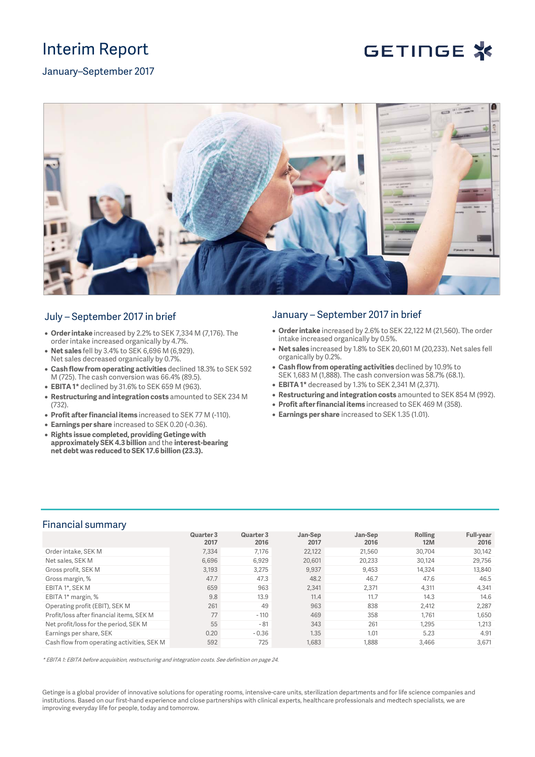## Interim Report



January–September 2017



## July – September 2017 in brief

- **Order intake** increased by 2.2% to SEK 7,334 M (7,176). The order intake increased organically by 4.7%.
- **Net sales** fell by 3.4% to SEK 6,696 M (6,929). Net sales decreased organically by 0.7%.
- **Cash flow from operating activities** declined 18.3% to SEK 592 M (725). The cash conversion was 66.4% (89.5).
- **EBITA 1\*** declined by 31.6% to SEK 659 M (963).
- **Restructuring and integration costs** amounted to SEK 234 M (732).
- **Profit after financial items** increased to SEK 77 M (-110).
- **Earnings per share** increased to SEK 0.20 (-0.36).
- **Rights issue completed, providing Getinge with approximately SEK 4.3 billion** and the **interest-bearing net debt was reduced to SEK 17.6 billion (23.3).**

## January – September 2017 in brief

- **Order intake** increased by 2.6% to SEK 22,122 M (21,560). The order intake increased organically by 0.5%.
- **Net sales** increased by 1.8% to SEK 20,601 M (20,233). Net sales fell organically by 0.2%.
- **Cash flow from operating activities** declined by 10.9% to SEK 1,683 M (1,888). The cash conversion was 58.7% (68.1).
- **EBITA 1\*** decreased by 1.3% to SEK 2,341 M (2,371).
- **Restructuring and integration costs** amounted to SEK 854 M (992).
- **Profit after financial items** increased to SEK 469 M (358).
- **Earnings per share** increased to SEK 1.35 (1.01).

## Financial summary

|                                            | Quarter 3<br>2017 | Quarter 3<br>2016 | Jan-Sep<br>2017 | Jan-Sep<br>2016 | Rolling<br>12M | <b>Full-year</b><br>2016 |
|--------------------------------------------|-------------------|-------------------|-----------------|-----------------|----------------|--------------------------|
| Order intake, SEK M                        | 7.334             | 7.176             | 22,122          | 21.560          | 30.704         | 30,142                   |
| Net sales, SEK M                           | 6.696             | 6,929             | 20,601          | 20.233          | 30.124         | 29,756                   |
| Gross profit, SEK M                        | 3.193             | 3,275             | 9,937           | 9,453           | 14.324         | 13,840                   |
| Gross margin, %                            | 47.7              | 47.3              | 48.2            | 46.7            | 47.6           | 46.5                     |
| EBITA 1*, SEK M                            | 659               | 963               | 2,341           | 2,371           | 4,311          | 4,341                    |
| EBITA 1 <sup>*</sup> margin, %             | 9.8               | 13.9              | 11.4            | 11.7            | 14.3           | 14.6                     |
| Operating profit (EBIT), SEK M             | 261               | 49                | 963             | 838             | 2,412          | 2,287                    |
| Profit/loss after financial items. SEK M   | 77                | $-110$            | 469             | 358             | 1,761          | 1,650                    |
| Net profit/loss for the period, SEK M      | 55                | $-81$             | 343             | 261             | 1,295          | 1,213                    |
| Earnings per share, SEK                    | 0.20              | $-0.36$           | 1.35            | 1.01            | 5.23           | 4.91                     |
| Cash flow from operating activities, SEK M | 592               | 725               | 1.683           | 1.888           | 3.466          | 3.671                    |

\* EBITA 1: EBITA before acquisition, restructuring and integration costs. See definition on page 24.

Getinge is a global provider of innovative solutions for operating rooms, intensive-care units, sterilization departments and for life science companies and institutions. Based on our first-hand experience and close partnerships with clinical experts, healthcare professionals and medtech specialists, we are improving everyday life for people, today and tomorrow.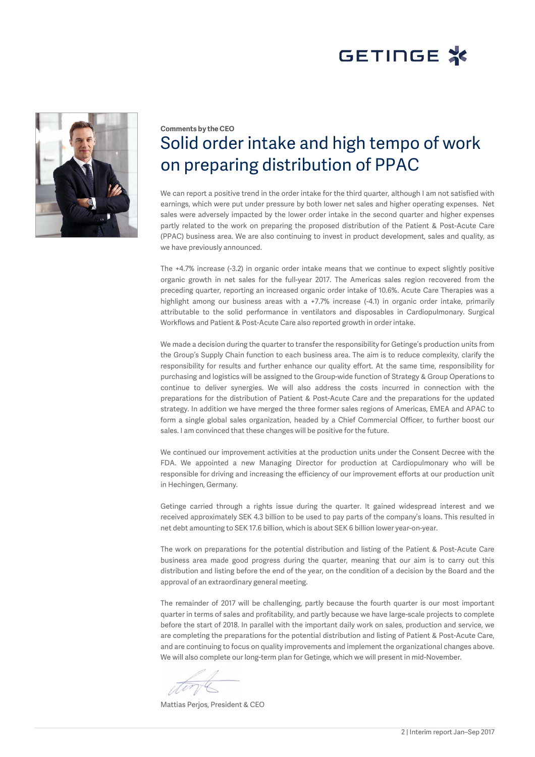# GETINGE X



## **Comments by the CEO** Solid order intake and high tempo of work on preparing distribution of PPAC

We can report a positive trend in the order intake for the third quarter, although I am not satisfied with earnings, which were put under pressure by both lower net sales and higher operating expenses. Net sales were adversely impacted by the lower order intake in the second quarter and higher expenses partly related to the work on preparing the proposed distribution of the Patient & Post-Acute Care (PPAC) business area. We are also continuing to invest in product development, sales and quality, as we have previously announced.

The +4.7% increase (-3.2) in organic order intake means that we continue to expect slightly positive organic growth in net sales for the full-year 2017. The Americas sales region recovered from the preceding quarter, reporting an increased organic order intake of 10.6%. Acute Care Therapies was a highlight among our business areas with a +7.7% increase (-4.1) in organic order intake, primarily attributable to the solid performance in ventilators and disposables in Cardiopulmonary. Surgical Workflows and Patient & Post-Acute Care also reported growth in order intake.

We made a decision during the quarter to transfer the responsibility for Getinge's production units from the Group's Supply Chain function to each business area. The aim is to reduce complexity, clarify the responsibility for results and further enhance our quality effort. At the same time, responsibility for purchasing and logistics will be assigned to the Group-wide function of Strategy & Group Operations to continue to deliver synergies. We will also address the costs incurred in connection with the preparations for the distribution of Patient & Post-Acute Care and the preparations for the updated strategy. In addition we have merged the three former sales regions of Americas, EMEA and APAC to form a single global sales organization, headed by a Chief Commercial Officer, to further boost our sales. I am convinced that these changes will be positive for the future.

We continued our improvement activities at the production units under the Consent Decree with the FDA. We appointed a new Managing Director for production at Cardiopulmonary who will be responsible for driving and increasing the efficiency of our improvement efforts at our production unit in Hechingen, Germany.

Getinge carried through a rights issue during the quarter. It gained widespread interest and we received approximately SEK 4.3 billion to be used to pay parts of the company's loans. This resulted in net debt amounting to SEK 17.6 billion, which is about SEK 6 billion lower year-on-year.

The work on preparations for the potential distribution and listing of the Patient & Post-Acute Care business area made good progress during the quarter, meaning that our aim is to carry out this distribution and listing before the end of the year, on the condition of a decision by the Board and the approval of an extraordinary general meeting.

The remainder of 2017 will be challenging, partly because the fourth quarter is our most important quarter in terms of sales and profitability, and partly because we have large-scale projects to complete before the start of 2018. In parallel with the important daily work on sales, production and service, we are completing the preparations for the potential distribution and listing of Patient & Post-Acute Care, and are continuing to focus on quality improvements and implement the organizational changes above. We will also complete our long-term plan for Getinge, which we will present in mid-November.

Mattias Perjos, President & CEO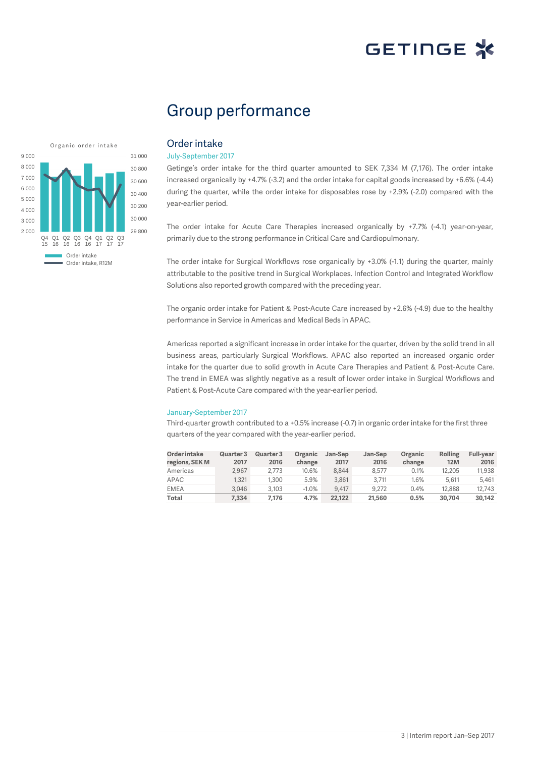## Group performance



## Order intake

#### July-September 2017

Getinge's order intake for the third quarter amounted to SEK 7,334 M (7,176). The order intake increased organically by +4.7% (-3.2) and the order intake for capital goods increased by +6.6% (-4.4) during the quarter, while the order intake for disposables rose by +2.9% (-2.0) compared with the year-earlier period.

The order intake for Acute Care Therapies increased organically by +7.7% (-4.1) year-on-year, primarily due to the strong performance in Critical Care and Cardiopulmonary.

The order intake for Surgical Workflows rose organically by +3.0% (-1.1) during the quarter, mainly attributable to the positive trend in Surgical Workplaces. Infection Control and Integrated Workflow Solutions also reported growth compared with the preceding year.

The organic order intake for Patient & Post-Acute Care increased by +2.6% (-4.9) due to the healthy performance in Service in Americas and Medical Beds in APAC.

Americas reported a significant increase in order intake for the quarter, driven by the solid trend in all business areas, particularly Surgical Workflows. APAC also reported an increased organic order intake for the quarter due to solid growth in Acute Care Therapies and Patient & Post-Acute Care. The trend in EMEA was slightly negative as a result of lower order intake in Surgical Workflows and Patient & Post-Acute Care compared with the year-earlier period.

#### January-September 2017

Third-quarter growth contributed to a +0.5% increase (-0.7) in organic order intake for the first three quarters of the year compared with the year-earlier period.

| Order intake<br>regions, SEK M | <b>Quarter 3</b><br>2017 | Quarter 3<br>2016 | Organic<br>change | Jan-Sep<br>2017 | Jan-Sep<br>2016 | Organic<br>change | Rolling<br><b>12M</b> | <b>Full-vear</b><br>2016 |
|--------------------------------|--------------------------|-------------------|-------------------|-----------------|-----------------|-------------------|-----------------------|--------------------------|
| Americas                       | 2.967                    | 2.773             | 10.6%             | 8.844           | 8.577           | 0.1%              | 12.205                | 11.938                   |
| APAC                           | 1.321                    | 1.300             | 5.9%              | 3.861           | 3.711           | 1.6%              | 5.611                 | 5.461                    |
| <b>EMEA</b>                    | 3.046                    | 3.103             | $-1.0%$           | 9.417           | 9.272           | 0.4%              | 12.888                | 12.743                   |
| Total                          | 7.334                    | 7.176             | 4.7%              | 22.122          | 21,560          | 0.5%              | 30,704                | 30.142                   |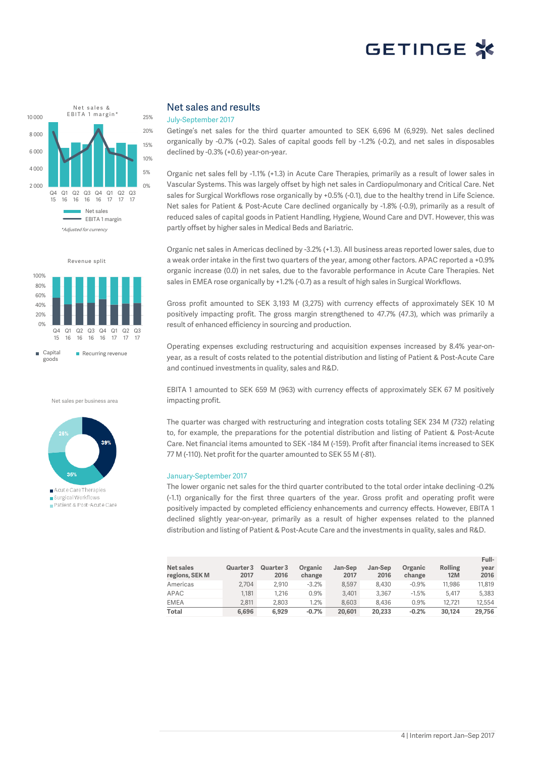



Net sales per business area



■ Acute Care Therapies Surgical Workflows Patient & Post-Acute Care

### Net sales and results

#### July-September 2017

Getinge's net sales for the third quarter amounted to SEK 6,696 M (6,929). Net sales declined organically by -0.7% (+0.2). Sales of capital goods fell by -1.2% (-0.2), and net sales in disposables declined by -0.3% (+0.6) year-on-year.

Organic net sales fell by -1.1% (+1.3) in Acute Care Therapies, primarily as a result of lower sales in Vascular Systems. This was largely offset by high net sales in Cardiopulmonary and Critical Care. Net sales for Surgical Workflows rose organically by +0.5% (-0.1), due to the healthy trend in Life Science. Net sales for Patient & Post-Acute Care declined organically by -1.8% (-0.9), primarily as a result of reduced sales of capital goods in Patient Handling, Hygiene, Wound Care and DVT. However, this was partly offset by higher sales in Medical Beds and Bariatric.

Organic net sales in Americas declined by -3.2% (+1.3). All business areas reported lower sales, due to a weak order intake in the first two quarters of the year, among other factors. APAC reported a +0.9% organic increase (0.0) in net sales, due to the favorable performance in Acute Care Therapies. Net sales in EMEA rose organically by +1.2% (-0.7) as a result of high sales in Surgical Workflows.

Gross profit amounted to SEK 3,193 M (3,275) with currency effects of approximately SEK 10 M positively impacting profit. The gross margin strengthened to 47.7% (47.3), which was primarily a result of enhanced efficiency in sourcing and production.

Operating expenses excluding restructuring and acquisition expenses increased by 8.4% year-onyear, as a result of costs related to the potential distribution and listing of Patient & Post-Acute Care and continued investments in quality, sales and R&D.

EBITA 1 amounted to SEK 659 M (963) with currency effects of approximately SEK 67 M positively impacting profit.

The quarter was charged with restructuring and integration costs totaling SEK 234 M (732) relating to, for example, the preparations for the potential distribution and listing of Patient & Post-Acute Care. Net financial items amounted to SEK -184 M (-159). Profit after financial items increased to SEK 77 M (-110). Net profit for the quarter amounted to SEK 55 M (-81).

#### January-September 2017

The lower organic net sales for the third quarter contributed to the total order intake declining -0.2% (-1.1) organically for the first three quarters of the year. Gross profit and operating profit were positively impacted by completed efficiency enhancements and currency effects. However, EBITA 1 declined slightly year-on-year, primarily as a result of higher expenses related to the planned distribution and listing of Patient & Post-Acute Care and the investments in quality, sales and R&D.

| Net sales<br>regions, SEK M | Quarter 3<br>2017 | Quarter 3<br>2016 | Organic<br>change | Jan-Sep<br>2017 | Jan-Sep<br>2016 | Organic<br>change | <b>Rolling</b><br><b>12M</b> | Full-<br>vear<br>2016 |
|-----------------------------|-------------------|-------------------|-------------------|-----------------|-----------------|-------------------|------------------------------|-----------------------|
| Americas                    | 2.704             | 2.910             | $-3.2%$           | 8.597           | 8.430           | $-0.9%$           | 11.986                       | 11.819                |
| APAC                        | 1.181             | 1.216             | $0.9\%$           | 3.401           | 3.367           | $-1.5%$           | 5.417                        | 5.383                 |
| <b>EMEA</b>                 | 2.811             | 2,803             | 1.2%              | 8.603           | 8.436           | 0.9%              | 12.721                       | 12.554                |
| Total                       | 6.696             | 6.929             | $-0.7%$           | 20,601          | 20,233          | $-0.2%$           | 30.124                       | 29,756                |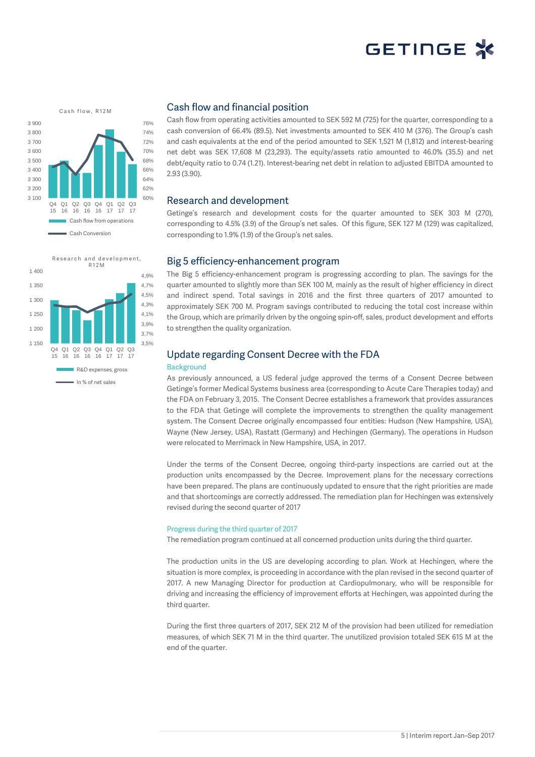





### Cash flow and financial position

Cash flow from operating activities amounted to SEK 592 M (725) for the quarter, corresponding to a cash conversion of 66.4% (89.5). Net investments amounted to SEK 410 M (376). The Group's cash and cash equivalents at the end of the period amounted to SEK 1,521 M (1,812) and interest-bearing net debt was SEK 17,608 M (23,293). The equity/assets ratio amounted to 46.0% (35.5) and net debt/equity ratio to 0.74 (1.21). Interest-bearing net debt in relation to adjusted EBITDA amounted to 2.93 (3.90).

### Research and development

Getinge's research and development costs for the quarter amounted to SEK 303 M (270), corresponding to 4.5% (3.9) of the Group's net sales. Of this figure, SEK 127 M (129) was capitalized, corresponding to 1.9% (1.9) of the Group's net sales.

### Big 5 efficiency-enhancement program

The Big 5 efficiency-enhancement program is progressing according to plan. The savings for the quarter amounted to slightly more than SEK 100 M, mainly as the result of higher efficiency in direct and indirect spend. Total savings in 2016 and the first three quarters of 2017 amounted to approximately SEK 700 M. Program savings contributed to reducing the total cost increase within the Group, which are primarily driven by the ongoing spin-off, sales, product development and efforts to strengthen the quality organization.

### Update regarding Consent Decree with the FDA

### Background

As previously announced, a US federal judge approved the terms of a Consent Decree between Getinge's former Medical Systems business area (corresponding to Acute Care Therapies today) and the FDA on February 3, 2015. The Consent Decree establishes a framework that provides assurances to the FDA that Getinge will complete the improvements to strengthen the quality management system. The Consent Decree originally encompassed four entities: Hudson (New Hampshire, USA), Wayne (New Jersey, USA), Rastatt (Germany) and Hechingen (Germany). The operations in Hudson were relocated to Merrimack in New Hampshire, USA, in 2017.

Under the terms of the Consent Decree, ongoing third-party inspections are carried out at the production units encompassed by the Decree. Improvement plans for the necessary corrections have been prepared. The plans are continuously updated to ensure that the right priorities are made and that shortcomings are correctly addressed. The remediation plan for Hechingen was extensively revised during the second quarter of 2017

#### Progress during the third quarter of 2017

The remediation program continued at all concerned production units during the third quarter.

The production units in the US are developing according to plan. Work at Hechingen, where the situation is more complex, is proceeding in accordance with the plan revised in the second quarter of 2017. A new Managing Director for production at Cardiopulmonary, who will be responsible for driving and increasing the efficiency of improvement efforts at Hechingen, was appointed during the third quarter.

During the first three quarters of 2017, SEK 212 M of the provision had been utilized for remediation measures, of which SEK 71 M in the third quarter. The unutilized provision totaled SEK 615 M at the end of the quarter.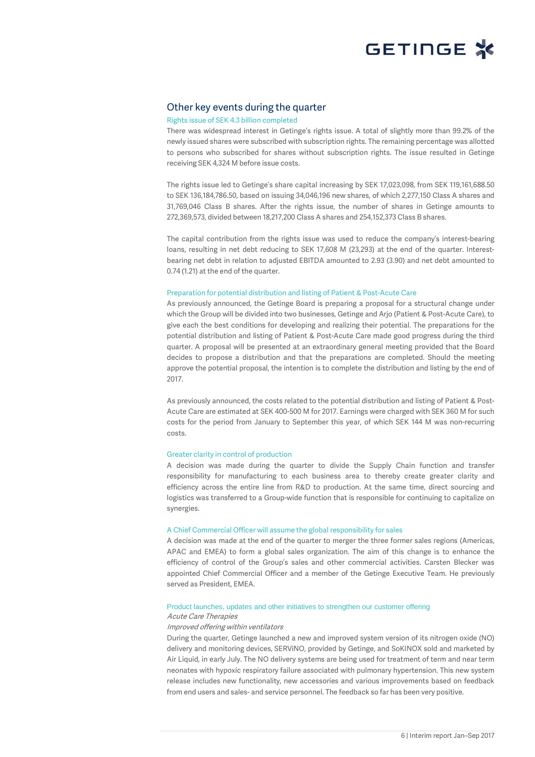

### Other key events during the quarter

#### Rights issue of SEK 4.3 billion completed

There was widespread interest in Getinge's rights issue. A total of slightly more than 99.2% of the newly issued shares were subscribed with subscription rights. The remaining percentage was allotted to persons who subscribed for shares without subscription rights. The issue resulted in Getinge receiving SEK 4,324 M before issue costs.

The rights issue led to Getinge's share capital increasing by SEK 17,023,098, from SEK 119,161,688.50 to SEK 136,184,786.50, based on issuing 34,046,196 new shares, of which 2,277,150 Class A shares and 31,769,046 Class B shares. After the rights issue, the number of shares in Getinge amounts to 272,369,573, divided between 18,217,200 Class A shares and 254,152,373 Class B shares.

The capital contribution from the rights issue was used to reduce the company's interest-bearing loans, resulting in net debt reducing to SEK 17,608 M (23,293) at the end of the quarter. Interestbearing net debt in relation to adjusted EBITDA amounted to 2.93 (3.90) and net debt amounted to 0.74 (1.21) at the end of the quarter.

#### Preparation for potential distribution and listing of Patient & Post-Acute Care

As previously announced, the Getinge Board is preparing a proposal for a structural change under which the Group will be divided into two businesses, Getinge and Arjo (Patient & Post-Acute Care), to give each the best conditions for developing and realizing their potential. The preparations for the potential distribution and listing of Patient & Post-Acute Care made good progress during the third quarter. A proposal will be presented at an extraordinary general meeting provided that the Board decides to propose a distribution and that the preparations are completed. Should the meeting approve the potential proposal, the intention is to complete the distribution and listing by the end of 2017.

As previously announced, the costs related to the potential distribution and listing of Patient & Post-Acute Care are estimated at SEK 400-500 M for 2017. Earnings were charged with SEK 360 M for such costs for the period from January to September this year, of which SEK 144 M was non-recurring costs.

#### Greater clarity in control of production

A decision was made during the quarter to divide the Supply Chain function and transfer responsibility for manufacturing to each business area to thereby create greater clarity and efficiency across the entire line from R&D to production. At the same time, direct sourcing and logistics was transferred to a Group-wide function that is responsible for continuing to capitalize on synergies.

#### A Chief Commercial Officer will assume the global responsibility for sales

A decision was made at the end of the quarter to merger the three former sales regions (Americas, APAC and EMEA) to form a global sales organization. The aim of this change is to enhance the efficiency of control of the Group's sales and other commercial activities. Carsten Blecker was appointed Chief Commercial Officer and a member of the Getinge Executive Team. He previously served as President, EMEA.

#### Product launches, updates and other initiatives to strengthen our customer offering

#### Acute Care Therapies

#### Improved offering within ventilators

During the quarter, Getinge launched a new and improved system version of its nitrogen oxide (NO) delivery and monitoring devices, SERViNO, provided by Getinge, and SoKINOX sold and marketed by Air Liquid, in early July. The NO delivery systems are being used for treatment of term and near term neonates with hypoxic respiratory failure associated with pulmonary hypertension. This new system release includes new functionality, new accessories and various improvements based on feedback from end users and sales- and service personnel. The feedback so far has been very positive.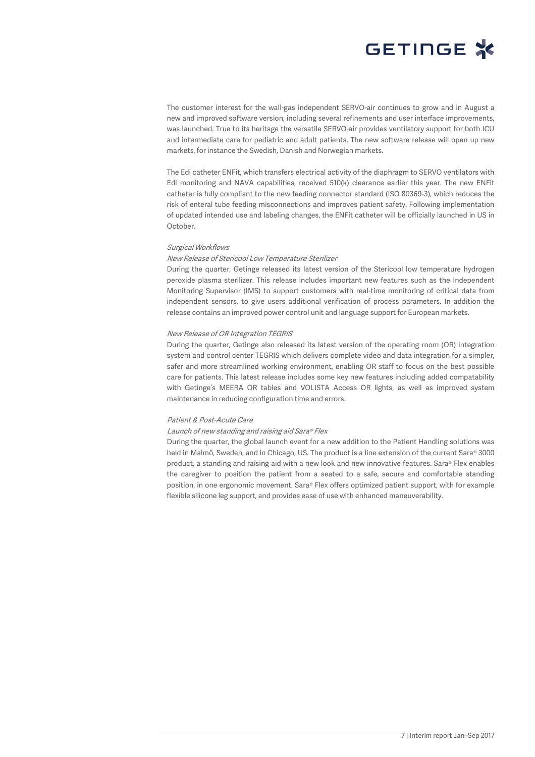

The customer interest for the wall-gas independent SERVO-air continues to grow and in August a new and improved software version, including several refinements and user interface improvements, was launched. True to its heritage the versatile SERVO-air provides ventilatory support for both ICU and intermediate care for pediatric and adult patients. The new software release will open up new markets, for instance the Swedish, Danish and Norwegian markets.

The Edi catheter ENFit, which transfers electrical activity of the diaphragm to SERVO ventilators with Edi monitoring and NAVA capabilities, received 510(k) clearance earlier this year. The new ENFit catheter is fully compliant to the new feeding connector standard (ISO 80369-3), which reduces the risk of enteral tube feeding misconnections and improves patient safety. Following implementation of updated intended use and labeling changes, the ENFit catheter will be officially launched in US in October.

#### Surgical Workflows

#### New Release of Stericool Low Temperature Sterilizer

During the quarter, Getinge released its latest version of the Stericool low temperature hydrogen peroxide plasma sterilizer. This release includes important new features such as the Independent Monitoring Supervisor (IMS) to support customers with real-time monitoring of critical data from independent sensors, to give users additional verification of process parameters. In addition the release contains an improved power control unit and language support for European markets.

#### New Release of OR Integration TEGRIS

During the quarter, Getinge also released its latest version of the operating room (OR) integration system and control center TEGRIS which delivers complete video and data integration for a simpler, safer and more streamlined working environment, enabling OR staff to focus on the best possible care for patients. This latest release includes some key new features including added compatability with Getinge's MEERA OR tables and VOLISTA Access OR lights, as well as improved system maintenance in reducing configuration time and errors.

### Patient & Post-Acute Care

#### Launch of new standing and raising aid Sara® Flex

During the quarter, the global launch event for a new addition to the Patient Handling solutions was held in Malmö, Sweden, and in Chicago, US. The product is a line extension of the current Sara® 3000 product, a standing and raising aid with a new look and new innovative features. Sara® Flex enables the caregiver to position the patient from a seated to a safe, secure and comfortable standing position, in one ergonomic movement. Sara® Flex offers optimized patient support, with for example flexible silicone leg support, and provides ease of use with enhanced maneuverability.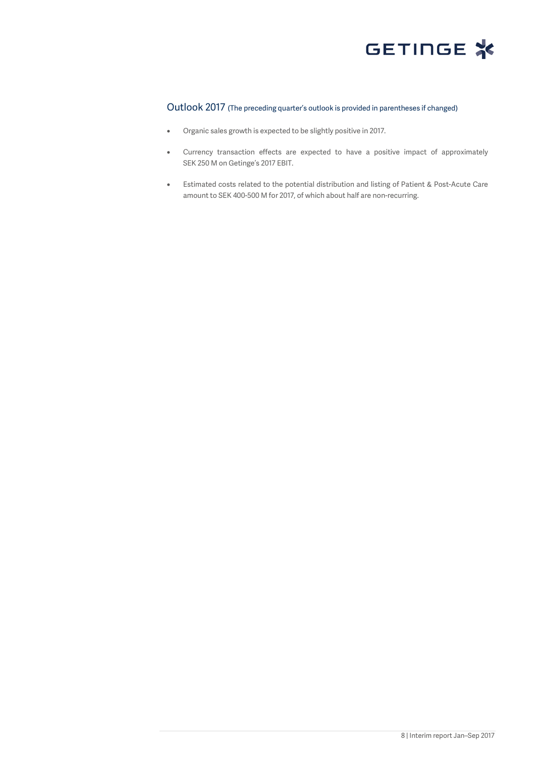

## Outlook 2017 (The preceding quarter's outlook is provided in parentheses if changed)

- Organic sales growth is expected to be slightly positive in 2017.
- Currency transaction effects are expected to have a positive impact of approximately SEK 250 M on Getinge's 2017 EBIT.
- Estimated costs related to the potential distribution and listing of Patient & Post-Acute Care amount to SEK 400-500 M for 2017, of which about half are non-recurring.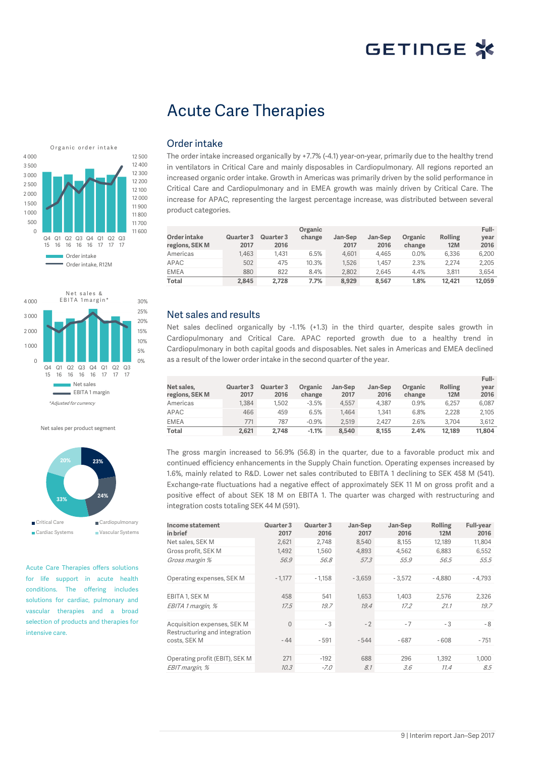## Acute Care Therapies





Net sales per product segment



Acute Care Therapies offers solutions for life support in acute health conditions. The offering includes solutions for cardiac, pulmonary and vascular therapies and a broad selection of products and therapies for intensive care.

### Order intake

The order intake increased organically by +7.7% (-4.1) year-on-year, primarily due to the healthy trend in ventilators in Critical Care and mainly disposables in Cardiopulmonary. All regions reported an increased organic order intake. Growth in Americas was primarily driven by the solid performance in Critical Care and Cardiopulmonary and in EMEA growth was mainly driven by Critical Care. The increase for APAC, representing the largest percentage increase, was distributed between several product categories.

| Order intake<br>regions, SEK M | Quarter 3<br>2017 | Quarter 3<br>2016 | Organic<br>change | Jan-Sep<br>2017 | Jan-Sep<br>2016 | Organic<br>change | <b>Rolling</b><br><b>12M</b> | Full-<br>year<br>2016 |
|--------------------------------|-------------------|-------------------|-------------------|-----------------|-----------------|-------------------|------------------------------|-----------------------|
| Americas                       | 1.463             | 1.431             | 6.5%              | 4.601           | 4.465           | 0.0%              | 6.336                        | 6.200                 |
| APAC                           | 502               | 475               | 10.3%             | 1.526           | 1.457           | 2.3%              | 2.274                        | 2,205                 |
| <b>EMEA</b>                    | 880               | 822               | 8.4%              | 2.802           | 2.645           | 4.4%              | 3.811                        | 3.654                 |
| Total                          | 2.845             | 2.728             | 7.7%              | 8.929           | 8.567           | 1.8%              | 12.421                       | 12.059                |

## Net sales and results

Net sales declined organically by -1.1% (+1.3) in the third quarter, despite sales growth in Cardiopulmonary and Critical Care. APAC reported growth due to a healthy trend in Cardiopulmonary in both capital goods and disposables. Net sales in Americas and EMEA declined as a result of the lower order intake in the second quarter of the year.

|                              |                   |                   |                   |                 |                 |                   |                              | Full-        |
|------------------------------|-------------------|-------------------|-------------------|-----------------|-----------------|-------------------|------------------------------|--------------|
| Net sales,<br>regions, SEK M | Quarter 3<br>2017 | Quarter 3<br>2016 | Organic<br>change | Jan-Sep<br>2017 | Jan-Sep<br>2016 | Organic<br>change | <b>Rolling</b><br><b>12M</b> | year<br>2016 |
| Americas                     | 1.384             | .502              | $-3.5%$           | 4.557           | 4.387           | 0.9%              | 6.257                        | 6,087        |
| APAC                         | 466               | 459               | 6.5%              | 1.464           | 1.341           | 6.8%              | 2.228                        | 2.105        |
| <b>EMEA</b>                  | 771               | 787               | $-0.9%$           | 2.519           | 2.427           | 2.6%              | 3.704                        | 3.612        |
| Total                        | 2,621             | 2.748             | $-1.1%$           | 8,540           | 8.155           | 2.4%              | 12.189                       | 11,804       |

The gross margin increased to 56.9% (56.8) in the quarter, due to a favorable product mix and continued efficiency enhancements in the Supply Chain function. Operating expenses increased by 1.6%, mainly related to R&D. Lower net sales contributed to EBITA 1 declining to SEK 458 M (541). Exchange-rate fluctuations had a negative effect of approximately SEK 11 M on gross profit and a positive effect of about SEK 18 M on EBITA 1. The quarter was charged with restructuring and integration costs totaling SEK 44 M (591).

| Income statement<br>in brief                  | Quarter 3<br>2017 | Quarter 3<br>2016 | Jan-Sep<br>2017 | Jan-Sep<br>2016 | Rolling<br><b>12M</b> | <b>Full-year</b><br>2016 |
|-----------------------------------------------|-------------------|-------------------|-----------------|-----------------|-----------------------|--------------------------|
| Net sales, SEK M                              | 2.621             | 2.748             | 8.540           | 8.155           | 12.189                | 11,804                   |
| Gross profit, SEK M                           | 1,492             | 1.560             | 4,893           | 4.562           | 6,883                 | 6,552                    |
| Gross margin %                                | 56.9              | 56.8              | 57.3            | 55.9            | 56.5                  | 55.5                     |
|                                               |                   |                   |                 |                 |                       |                          |
| Operating expenses, SEK M                     | $-1,177$          | $-1,158$          | $-3,659$        | $-3,572$        | $-4.880$              | $-4,793$                 |
|                                               |                   |                   |                 |                 |                       |                          |
| EBITA 1, SEK M                                | 458               | 541               | 1.653           | 1,403           | 2,576                 | 2,326                    |
| EBITA 1 margin, %                             | 17.5              | 19.7              | 19.4            | 17.2            | 21.1                  | 19.7                     |
|                                               |                   |                   |                 |                 |                       |                          |
| Acquisition expenses, SEK M                   | $\Omega$          | $-3$              | $-2$            | $-7$            | - 3                   | - 8                      |
| Restructuring and integration<br>costs, SEK M | $-44$             | $-591$            | $-544$          | $-687$          | $-608$                | $-751$                   |
|                                               |                   |                   |                 |                 |                       |                          |
| Operating profit (EBIT), SEK M                | 271               | $-192$            | 688             | 296             | 1.392                 | 1.000                    |
| EBIT margin, %                                | 10.3              | $-7.0$            | 8.1             | 3.6             | 11.4                  | 8.5                      |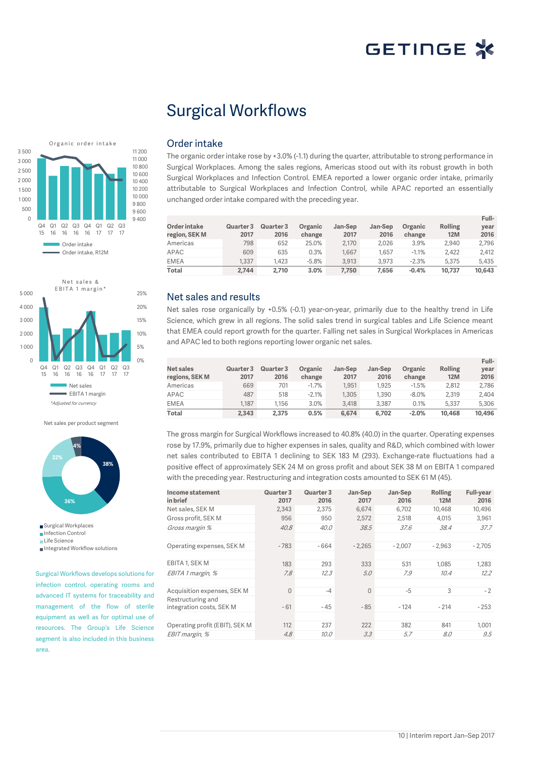**Full-**

## Surgical Workflows





Net sales per product segment



Life Science

Integrated Workflow solutions

Surgical Workflows develops solutions for infection control, operating rooms and advanced IT systems for traceability and management of the flow of sterile equipment as well as for optimal use of resources. The Group's Life Science segment is also included in this business area.

### Order intake

The organic order intake rose by +3.0% (-1.1) during the quarter, attributable to strong performance in Surgical Workplaces. Among the sales regions, Americas stood out with its robust growth in both Surgical Workplaces and Infection Control. EMEA reported a lower organic order intake, primarily attributable to Surgical Workplaces and Infection Control, while APAC reported an essentially unchanged order intake compared with the preceding year.

| Order intake<br>region, SEK M | Quarter 3<br>2017 | Quarter 3<br>2016 | Organic<br>change | Jan-Sep<br>2017 | Jan-Sep<br>2016 | Organic<br>change | <b>Rolling</b><br><b>12M</b> | <b>Full</b> -<br>vear<br>2016 |
|-------------------------------|-------------------|-------------------|-------------------|-----------------|-----------------|-------------------|------------------------------|-------------------------------|
| Americas                      | 798               | 652               | 25.0%             | 2.170           | 2.026           | 3.9%              | 2.940                        | 2.796                         |
| APAC                          | 609               | 635               | 0.3%              | 1.667           | 1.657           | $-1.1%$           | 2.422                        | 2.412                         |
| <b>EMEA</b>                   | 1.337             | 1.423             | $-5.8%$           | 3.913           | 3.973           | $-2.3%$           | 5.375                        | 5.435                         |
| Total                         | 2.744             | 2.710             | 3.0%              | 7.750           | 7.656           | $-0.4%$           | 10.737                       | 10,643                        |

### Net sales and results

Net sales rose organically by +0.5% (-0.1) year-on-year, primarily due to the healthy trend in Life Science, which grew in all regions. The solid sales trend in surgical tables and Life Science meant that EMEA could report growth for the quarter. Falling net sales in Surgical Workplaces in Americas and APAC led to both regions reporting lower organic net sales.

| Net sales<br>regions, SEK M | Quarter 3<br>2017 | Quarter 3<br>2016 | Organic<br>change | Jan-Sep<br>2017 | Jan-Sep<br>2016 | Organic<br>change | <b>Rolling</b><br><b>12M</b> | Full-<br>year<br>2016 |
|-----------------------------|-------------------|-------------------|-------------------|-----------------|-----------------|-------------------|------------------------------|-----------------------|
| Americas                    | 669               | 701               | $-1.7%$           | 1.951           | 1.925           | $-1.5%$           | 2.812                        | 2.786                 |
| APAC                        | 487               | 518               | $-2.1%$           | 1.305           | 1.390           | $-8.0%$           | 2.319                        | 2.404                 |
| <b>EMEA</b>                 | 1.187             | 1.156             | 3.0%              | 3.418           | 3.387           | 0.1%              | 5.337                        | 5.306                 |
| Total                       | 2.343             | 2.375             | 0.5%              | 6.674           | 6.702           | $-2.0%$           | 10.468                       | 10.496                |

The gross margin for Surgical Workflows increased to 40.8% (40.0) in the quarter. Operating expenses rose by 17.9%, primarily due to higher expenses in sales, quality and R&D, which combined with lower net sales contributed to EBITA 1 declining to SEK 183 M (293). Exchange-rate fluctuations had a positive effect of approximately SEK 24 M on gross profit and about SEK 38 M on EBITA 1 compared with the preceding year. Restructuring and integration costs amounted to SEK 61 M (45).

| Quarter 3<br>2017 | Quarter 3<br>2016 | Jan-Sep<br>2017 | Jan-Sep<br>2016 | Rolling<br><b>12M</b> | <b>Full-year</b><br>2016 |
|-------------------|-------------------|-----------------|-----------------|-----------------------|--------------------------|
| 2,343             | 2.375             | 6,674           | 6,702           | 10.468                | 10,496                   |
| 956               | 950               | 2,572           | 2,518           | 4,015                 | 3,961                    |
| 40.8              | 40.0              | 38.5            | 37.6            | 38.4                  | 37.7                     |
|                   |                   |                 |                 |                       |                          |
| $-783$            | $-664$            | $-2.265$        | $-2.007$        | $-2.963$              | $-2,705$                 |
|                   |                   |                 |                 |                       |                          |
| 183               | 293               | 333             | 531             | 1.085                 | 1.283                    |
| 7.8               | 12.3              | 5.0             | 7.9             | 10.4                  | 12.2                     |
|                   |                   |                 |                 |                       |                          |
| $\Omega$          | $-4$              | $\Omega$        | $-5$            | 3                     | $-2$                     |
|                   |                   |                 |                 |                       |                          |
|                   |                   |                 |                 |                       | $-253$                   |
|                   |                   |                 |                 |                       |                          |
| 112               | 237               | 222             | 382             | 841                   | 1.001                    |
| 4.8               | 10.0              | 3.3             | 5.7             | 8.0                   | 9.5                      |
|                   | $-61$             | $-45$           | $-85$           | $-124$                | $-214$                   |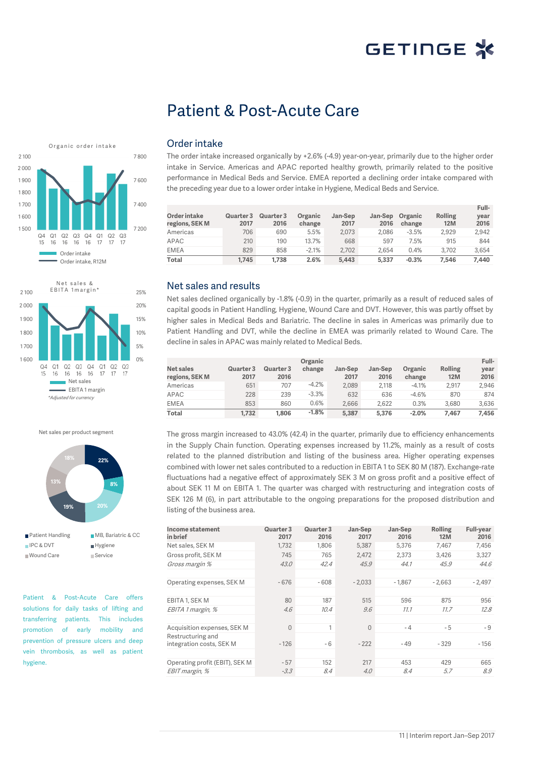## Patient & Post-Acute Care





Net sales per product segment



Patient & Post-Acute Care offers solutions for daily tasks of lifting and transferring patients. This includes promotion of early mobility and prevention of pressure ulcers and deep vein thrombosis, as well as patient hygiene.

### Order intake

The order intake increased organically by +2.6% (-4.9) year-on-year, primarily due to the higher order intake in Service. Americas and APAC reported healthy growth, primarily related to the positive performance in Medical Beds and Service. EMEA reported a declining order intake compared with the preceding year due to a lower order intake in Hygiene, Medical Beds and Service.

| Order intake<br>regions, SEK M | Quarter 3<br>2017 | Quarter 3<br>2016 | Organic<br>change | Jan-Sep<br>2017 | Jan-Sep<br>2016 | Organic<br>change | Rolling<br><b>12M</b> | Full-<br>vear<br>2016 |
|--------------------------------|-------------------|-------------------|-------------------|-----------------|-----------------|-------------------|-----------------------|-----------------------|
| Americas                       | 706               | 690               | 5.5%              | 2.073           | 2.086           | $-3.5%$           | 2.929                 | 2,942                 |
| APAC                           | 210               | 190               | 13.7%             | 668             | 597             | 7.5%              | 915                   | 844                   |
| <b>EMEA</b>                    | 829               | 858               | $-2.1%$           | 2.702           | 2.654           | 0.4%              | 3.702                 | 3.654                 |
| Total                          | 1.745             | 1.738             | 2.6%              | 5.443           | 5.337           | $-0.3%$           | 7.546                 | 7.440                 |

### Net sales and results

Net sales declined organically by -1.8% (-0.9) in the quarter, primarily as a result of reduced sales of capital goods in Patient Handling, Hygiene, Wound Care and DVT. However, this was partly offset by higher sales in Medical Beds and Bariatric. The decline in sales in Americas was primarily due to Patient Handling and DVT, while the decline in EMEA was primarily related to Wound Care. The decline in sales in APAC was mainly related to Medical Beds.

|                             |                   |                   | Organic |                 |                 |                   |                              | Full-        |
|-----------------------------|-------------------|-------------------|---------|-----------------|-----------------|-------------------|------------------------------|--------------|
| Net sales<br>regions, SEK M | Quarter 3<br>2017 | Quarter 3<br>2016 | change  | Jan-Sep<br>2017 | Jan-Sep<br>2016 | Organic<br>change | <b>Rolling</b><br><b>12M</b> | year<br>2016 |
| Americas                    | 651               | 707               | $-4.2%$ | 2.089           | 2.118           | $-4.1%$           | 2.917                        | 2.946        |
| APAC                        | 228               | 239               | $-3.3%$ | 632             | 636             | $-4.6%$           | 870                          | 874          |
| <b>EMEA</b>                 | 853               | 860               | $0.6\%$ | 2.666           | 2.622           | 0.3%              | 3.680                        | 3.636        |
| <b>Total</b>                | 1.732             | 1.806             | $-1.8%$ | 5.387           | 5.376           | $-2.0%$           | 7.467                        | 7.456        |

The gross margin increased to 43.0% (42.4) in the quarter, primarily due to efficiency enhancements in the Supply Chain function. Operating expenses increased by 11.2%, mainly as a result of costs related to the planned distribution and listing of the business area. Higher operating expenses combined with lower net sales contributed to a reduction in EBITA 1 to SEK 80 M (187). Exchange-rate fluctuations had a negative effect of approximately SEK 3 M on gross profit and a positive effect of about SEK 11 M on EBITA 1. The quarter was charged with restructuring and integration costs of SEK 126 M (6), in part attributable to the ongoing preparations for the proposed distribution and listing of the business area.

| Income statement<br>in brief   | Quarter 3<br>2017 | Quarter 3<br>2016 | Jan-Sep<br>2017 | Jan-Sep<br>2016 | Rolling<br>12M | <b>Full-year</b><br>2016 |
|--------------------------------|-------------------|-------------------|-----------------|-----------------|----------------|--------------------------|
| Net sales, SEK M               | 1,732             | 1.806             | 5,387           | 5,376           | 7,467          | 7,456                    |
| Gross profit, SEK M            | 745               | 765               | 2,472           | 2.373           | 3,426          | 3,327                    |
| Gross margin %                 | 43.0              | 42.4              | 45.9            | 44.1            | 45.9           | 44.6                     |
|                                |                   |                   |                 |                 |                |                          |
| Operating expenses, SEK M      | $-676$            | $-608$            | $-2.033$        | $-1.867$        | $-2.663$       | $-2,497$                 |
|                                |                   |                   |                 |                 |                |                          |
| EBITA 1, SEK M                 | 80                | 187               | 515             | 596             | 875            | 956                      |
| EBITA 1 margin, %              | 4.6               | 10.4              | 9.6             | 11.1            | 11.7           | 12.8                     |
|                                |                   |                   |                 |                 |                |                          |
| Acquisition expenses, SEK M    | $\Omega$          | 1                 | $\Omega$        | $-4$            | $-5$           | $-9$                     |
| Restructuring and              |                   |                   |                 |                 |                |                          |
| integration costs, SEK M       | $-126$            | - 6               | $-222$          | $-49$           | $-329$         | - 156                    |
|                                |                   |                   |                 |                 |                |                          |
| Operating profit (EBIT), SEK M | $-57$             | 152               | 217             | 453             | 429            | 665                      |
| EBIT margin, %                 | $-3.3$            | 8.4               | 4.0             | 8.4             | 5.7            | 8.9                      |
|                                |                   |                   |                 |                 |                |                          |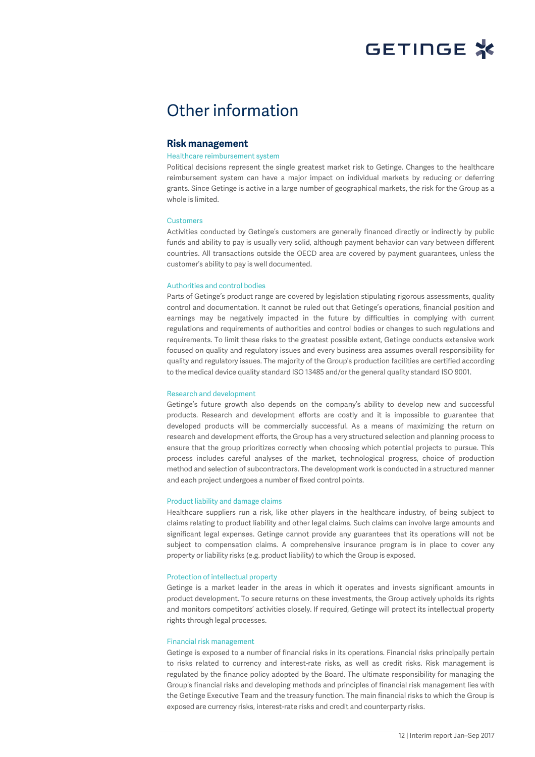

## Other information

### **Risk management**

#### Healthcare reimbursement system

Political decisions represent the single greatest market risk to Getinge. Changes to the healthcare reimbursement system can have a major impact on individual markets by reducing or deferring grants. Since Getinge is active in a large number of geographical markets, the risk for the Group as a whole is limited.

#### **Customers**

Activities conducted by Getinge's customers are generally financed directly or indirectly by public funds and ability to pay is usually very solid, although payment behavior can vary between different countries. All transactions outside the OECD area are covered by payment guarantees, unless the customer's ability to pay is well documented.

#### Authorities and control bodies

Parts of Getinge's product range are covered by legislation stipulating rigorous assessments, quality control and documentation. It cannot be ruled out that Getinge's operations, financial position and earnings may be negatively impacted in the future by difficulties in complying with current regulations and requirements of authorities and control bodies or changes to such regulations and requirements. To limit these risks to the greatest possible extent, Getinge conducts extensive work focused on quality and regulatory issues and every business area assumes overall responsibility for quality and regulatory issues. The majority of the Group's production facilities are certified according to the medical device quality standard ISO 13485 and/or the general quality standard ISO 9001.

#### Research and development

Getinge's future growth also depends on the company's ability to develop new and successful products. Research and development efforts are costly and it is impossible to guarantee that developed products will be commercially successful. As a means of maximizing the return on research and development efforts, the Group has a very structured selection and planning process to ensure that the group prioritizes correctly when choosing which potential projects to pursue. This process includes careful analyses of the market, technological progress, choice of production method and selection of subcontractors. The development work is conducted in a structured manner and each project undergoes a number of fixed control points.

#### Product liability and damage claims

Healthcare suppliers run a risk, like other players in the healthcare industry, of being subject to claims relating to product liability and other legal claims. Such claims can involve large amounts and significant legal expenses. Getinge cannot provide any guarantees that its operations will not be subject to compensation claims. A comprehensive insurance program is in place to cover any property or liability risks (e.g. product liability) to which the Group is exposed.

#### Protection of intellectual property

Getinge is a market leader in the areas in which it operates and invests significant amounts in product development. To secure returns on these investments, the Group actively upholds its rights and monitors competitors' activities closely. If required, Getinge will protect its intellectual property rights through legal processes.

#### Financial risk management

Getinge is exposed to a number of financial risks in its operations. Financial risks principally pertain to risks related to currency and interest-rate risks, as well as credit risks. Risk management is regulated by the finance policy adopted by the Board. The ultimate responsibility for managing the Group's financial risks and developing methods and principles of financial risk management lies with the Getinge Executive Team and the treasury function. The main financial risks to which the Group is exposed are currency risks, interest-rate risks and credit and counterparty risks.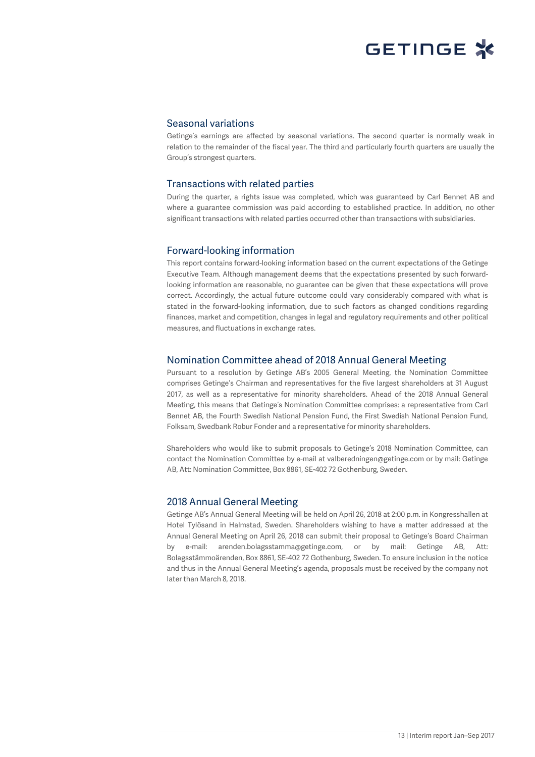### Seasonal variations

Getinge's earnings are affected by seasonal variations. The second quarter is normally weak in relation to the remainder of the fiscal year. The third and particularly fourth quarters are usually the Group's strongest quarters.

### Transactions with related parties

During the quarter, a rights issue was completed, which was guaranteed by Carl Bennet AB and where a guarantee commission was paid according to established practice. In addition, no other significant transactions with related parties occurred other than transactions with subsidiaries.

### Forward-looking information

This report contains forward-looking information based on the current expectations of the Getinge Executive Team. Although management deems that the expectations presented by such forwardlooking information are reasonable, no guarantee can be given that these expectations will prove correct. Accordingly, the actual future outcome could vary considerably compared with what is stated in the forward-looking information, due to such factors as changed conditions regarding finances, market and competition, changes in legal and regulatory requirements and other political measures, and fluctuations in exchange rates.

## Nomination Committee ahead of 2018 Annual General Meeting

Pursuant to a resolution by Getinge AB's 2005 General Meeting, the Nomination Committee comprises Getinge's Chairman and representatives for the five largest shareholders at 31 August 2017, as well as a representative for minority shareholders. Ahead of the 2018 Annual General Meeting, this means that Getinge's Nomination Committee comprises: a representative from Carl Bennet AB, the Fourth Swedish National Pension Fund, the First Swedish National Pension Fund, Folksam, Swedbank Robur Fonder and a representative for minority shareholders.

Shareholders who would like to submit proposals to Getinge's 2018 Nomination Committee, can contact the Nomination Committee by e-mail at valberedningen@getinge.com or by mail: Getinge AB, Att: Nomination Committee, Box 8861, SE-402 72 Gothenburg, Sweden.

## 2018 Annual General Meeting

Getinge AB's Annual General Meeting will be held on April 26, 2018 at 2:00 p.m. in Kongresshallen at Hotel Tylösand in Halmstad, Sweden. Shareholders wishing to have a matter addressed at the Annual General Meeting on April 26, 2018 can submit their proposal to Getinge's Board Chairman by e-mail: arenden.bolagsstamma@getinge.com, or by mail: Getinge AB, Att: Bolagsstämmoärenden, Box 8861, SE-402 72 Gothenburg, Sweden. To ensure inclusion in the notice and thus in the Annual General Meeting's agenda, proposals must be received by the company not later than March 8, 2018.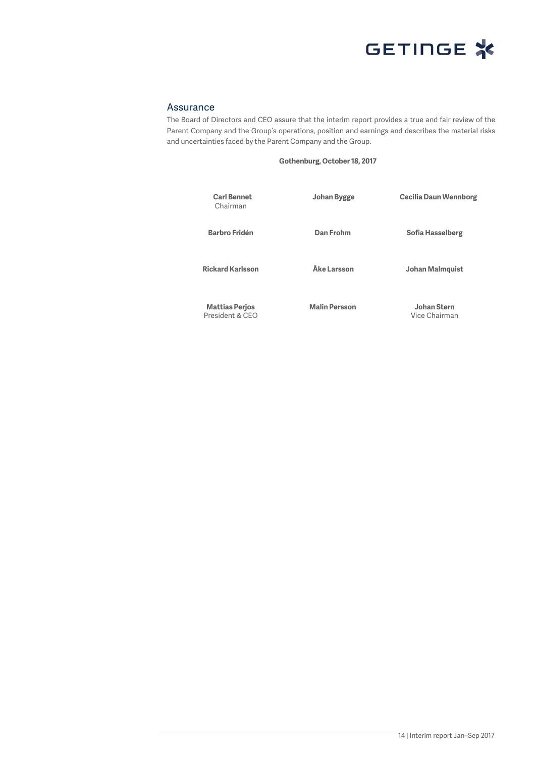

## Assurance

The Board of Directors and CEO assure that the interim report provides a true and fair review of the Parent Company and the Group's operations, position and earnings and describes the material risks and uncertainties faced by the Parent Company and the Group.

### **Gothenburg, October 18, 2017**

| <b>Carl Bennet</b><br>Chairman           | Johan Bygge          | Cecilia Daun Wennborg        |
|------------------------------------------|----------------------|------------------------------|
| <b>Barbro Fridén</b>                     | Dan Frohm            | Sofia Hasselberg             |
| <b>Rickard Karlsson</b>                  | Åke Larsson          | Johan Malmquist              |
| <b>Mattias Perjos</b><br>President & CEO | <b>Malin Persson</b> | Johan Stern<br>Vice Chairman |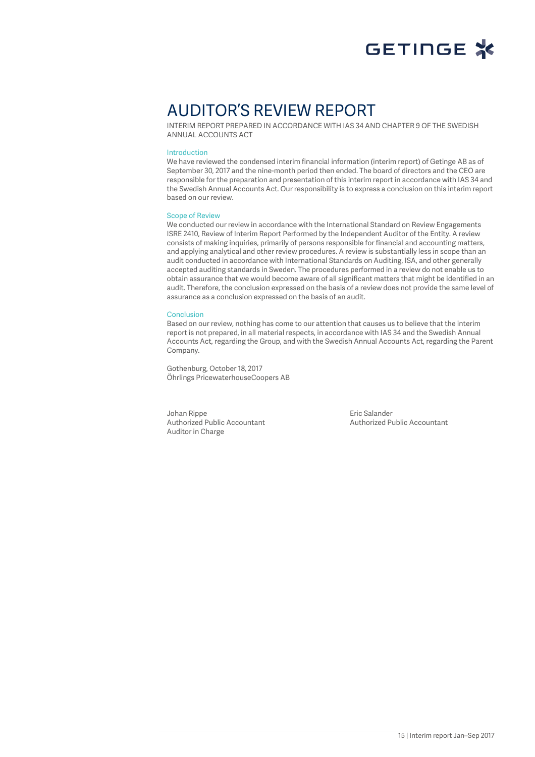

## AUDITOR'S REVIEW REPORT

INTERIM REPORT PREPARED IN ACCORDANCE WITH IAS 34 AND CHAPTER 9 OF THE SWEDISH ANNUAL ACCOUNTS ACT

#### Introduction

We have reviewed the condensed interim financial information (interim report) of Getinge AB as of September 30, 2017 and the nine-month period then ended. The board of directors and the CEO are responsible for the preparation and presentation of this interim report in accordance with IAS 34 and the Swedish Annual Accounts Act. Our responsibility is to express a conclusion on this interim report based on our review.

### Scope of Review

We conducted our review in accordance with the International Standard on Review Engagements ISRE 2410, Review of Interim Report Performed by the Independent Auditor of the Entity. A review consists of making inquiries, primarily of persons responsible for financial and accounting matters, and applying analytical and other review procedures. A review is substantially less in scope than an audit conducted in accordance with International Standards on Auditing, ISA, and other generally accepted auditing standards in Sweden. The procedures performed in a review do not enable us to obtain assurance that we would become aware of all significant matters that might be identified in an audit. Therefore, the conclusion expressed on the basis of a review does not provide the same level of assurance as a conclusion expressed on the basis of an audit.

#### Conclusion

Based on our review, nothing has come to our attention that causes us to believe that the interim report is not prepared, in all material respects, in accordance with IAS 34 and the Swedish Annual Accounts Act, regarding the Group, and with the Swedish Annual Accounts Act, regarding the Parent Company.

Gothenburg, October 18, 2017 Öhrlings PricewaterhouseCoopers AB

Johan Rippe Authorized Public Accountant Auditor in Charge

Eric Salander Authorized Public Accountant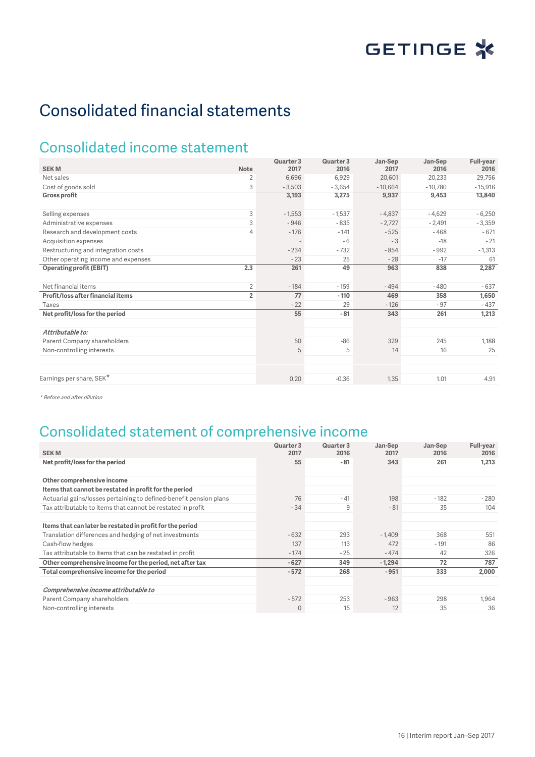# Consolidated financial statements

## Consolidated income statement

|                                     |                | Quarter 3         | Quarter 3 | Jan-Sep   | Jan-Sep   | Full-year |
|-------------------------------------|----------------|-------------------|-----------|-----------|-----------|-----------|
| <b>SEKM</b>                         | <b>Note</b>    | 2017              | 2016      | 2017      | 2016      | 2016      |
| Net sales                           | 2              | 6,696             | 6,929     | 20,601    | 20,233    | 29,756    |
| Cost of goods sold                  | 3              | $-3,503$          | $-3,654$  | $-10,664$ | $-10,780$ | $-15,916$ |
| <b>Gross profit</b>                 |                | 3,193             | 3,275     | 9,937     | 9,453     | 13,840    |
| Selling expenses                    | 3              | $-1,553$          | $-1,537$  | $-4,837$  | $-4,629$  | $-6,250$  |
| Administrative expenses             | 3              | $-946$            | $-835$    | $-2,727$  | $-2,491$  | $-3,359$  |
| Research and development costs      | $\overline{4}$ | $-176$            | $-141$    | $-525$    | $-468$    | $-671$    |
| Acquisition expenses                |                | $\qquad \qquad -$ | $-6$      | $-3$      | $-18$     | $-21$     |
| Restructuring and integration costs |                | $-234$            | $-732$    | $-854$    | $-992$    | $-1,313$  |
| Other operating income and expenses |                | $-23$             | 25        | $-28$     | $-17$     | 61        |
| <b>Operating profit (EBIT)</b>      | 2.3            | 261               | 49        | 963       | 838       | 2,287     |
| Net financial items                 | $\overline{2}$ | $-184$            | $-159$    | $-494$    | $-480$    | $-637$    |
| Profit/loss after financial items   | $\overline{2}$ | 77                | $-110$    | 469       | 358       | 1,650     |
| Taxes                               |                | $-22$             | 29        | $-126$    | $-97$     | $-437$    |
| Net profit/loss for the period      |                | 55                | $-81$     | 343       | 261       | 1,213     |
| Attributable to:                    |                |                   |           |           |           |           |
| Parent Company shareholders         |                | 50                | $-86$     | 329       | 245       | 1,188     |
| Non-controlling interests           |                | 5                 | 5         | 14        | 16        | 25        |
|                                     |                |                   |           |           |           |           |
| Earnings per share, SEK*            |                | 0.20              | $-0.36$   | 1.35      | 1.01      | 4.91      |

\* Before and after dilution

## Consolidated statement of comprehensive income

|                                                                    | Quarter 3    | Quarter 3 | Jan-Sep  | Jan-Sep | <b>Full-year</b> |
|--------------------------------------------------------------------|--------------|-----------|----------|---------|------------------|
| <b>SEKM</b>                                                        | 2017         | 2016      | 2017     | 2016    | 2016             |
| Net profit/loss for the period                                     | 55           | - 81      | 343      | 261     | 1,213            |
|                                                                    |              |           |          |         |                  |
| Other comprehensive income                                         |              |           |          |         |                  |
| Items that cannot be restated in profit for the period             |              |           |          |         |                  |
| Actuarial gains/losses pertaining to defined-benefit pension plans | 76           | $-41$     | 198      | $-182$  | $-280$           |
| Tax attributable to items that cannot be restated in profit        | $-34$        | 9         | $-81$    | 35      | 104              |
|                                                                    |              |           |          |         |                  |
| Items that can later be restated in profit for the period          |              |           |          |         |                  |
| Translation differences and hedging of net investments             | $-632$       | 293       | $-1.409$ | 368     | 551              |
| Cash-flow hedges                                                   | 137          | 113       | 472      | $-191$  | 86               |
| Tax attributable to items that can be restated in profit           | $-174$       | $-25$     | $-474$   | 42      | 326              |
| Other comprehensive income for the period, net after tax           | $-627$       | 349       | $-1,294$ | 72      | 787              |
| Total comprehensive income for the period                          | $-572$       | 268       | $-951$   | 333     | 2,000            |
|                                                                    |              |           |          |         |                  |
| Comprehensive income attributable to                               |              |           |          |         |                  |
| Parent Company shareholders                                        | $-572$       | 253       | $-963$   | 298     | 1,964            |
| Non-controlling interests                                          | $\mathbf{0}$ | 15        | 12       | 35      | 36               |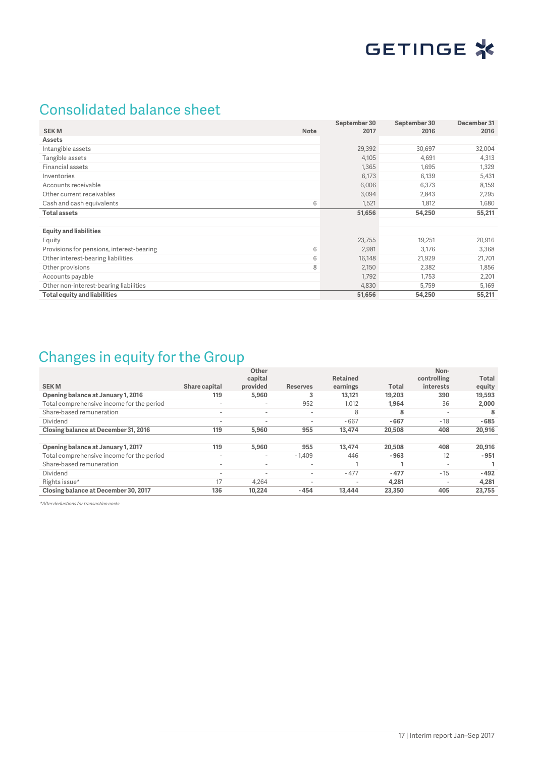

## Consolidated balance sheet

|                                           |             | September 30 | September 30 | December 31 |
|-------------------------------------------|-------------|--------------|--------------|-------------|
| <b>SEKM</b>                               | <b>Note</b> | 2017         | 2016         | 2016        |
| <b>Assets</b>                             |             |              |              |             |
| Intangible assets                         |             | 29,392       | 30,697       | 32,004      |
| Tangible assets                           |             | 4,105        | 4,691        | 4,313       |
| Financial assets                          |             | 1,365        | 1,695        | 1,329       |
| Inventories                               |             | 6,173        | 6,139        | 5,431       |
| Accounts receivable                       |             | 6,006        | 6,373        | 8,159       |
| Other current receivables                 |             | 3,094        | 2,843        | 2,295       |
| Cash and cash equivalents                 | 6           | 1,521        | 1,812        | 1,680       |
| <b>Total assets</b>                       |             | 51,656       | 54,250       | 55,211      |
|                                           |             |              |              |             |
| <b>Equity and liabilities</b>             |             |              |              |             |
| Equity                                    |             | 23,755       | 19,251       | 20,916      |
| Provisions for pensions, interest-bearing | 6           | 2,981        | 3,176        | 3,368       |
| Other interest-bearing liabilities        | 6           | 16,148       | 21,929       | 21,701      |
| Other provisions                          | 8           | 2,150        | 2,382        | 1,856       |
| Accounts payable                          |             | 1,792        | 1,753        | 2,201       |
| Other non-interest-bearing liabilities    |             | 4,830        | 5,759        | 5,169       |
| <b>Total equity and liabilities</b>       |             | 51,656       | 54,250       | 55,211      |

## Changes in equity for the Group

|                                           |                          | Other<br>capital         |                          | <b>Retained</b>          |              | Non-<br>controlling      | Total  |
|-------------------------------------------|--------------------------|--------------------------|--------------------------|--------------------------|--------------|--------------------------|--------|
| <b>SEKM</b>                               | Share capital            | provided                 | <b>Reserves</b>          | earnings                 | <b>Total</b> | interests                | equity |
| Opening balance at January 1, 2016        | 119                      | 5,960                    | 3                        | 13.121                   | 19,203       | 390                      | 19,593 |
| Total comprehensive income for the period | $\overline{\phantom{a}}$ | $\overline{\phantom{0}}$ | 952                      | 1,012                    | 1.964        | 36                       | 2,000  |
| Share-based remuneration                  | $\overline{\phantom{a}}$ | $\overline{\phantom{0}}$ | $\overline{\phantom{a}}$ | 8                        | 8            | $\overline{\phantom{a}}$ | 8      |
| Dividend                                  | $\overline{\phantom{a}}$ | $\overline{\phantom{a}}$ | $\overline{\phantom{a}}$ | $-667$                   | $-667$       | $-18$                    | $-685$ |
| Closing balance at December 31, 2016      | 119                      | 5,960                    | 955                      | 13,474                   | 20,508       | 408                      | 20,916 |
|                                           |                          |                          |                          |                          |              |                          |        |
| Opening balance at January 1, 2017        | 119                      | 5,960                    | 955                      | 13,474                   | 20,508       | 408                      | 20,916 |
| Total comprehensive income for the period | $\overline{\phantom{a}}$ | $\overline{\phantom{a}}$ | $-1,409$                 | 446                      | $-963$       | 12                       | $-951$ |
| Share-based remuneration                  | $\overline{\phantom{a}}$ | $\overline{\phantom{a}}$ | $\overline{\phantom{a}}$ |                          |              | $\overline{\phantom{a}}$ |        |
| Dividend                                  | $\overline{\phantom{a}}$ | $\overline{\phantom{a}}$ | $\overline{\phantom{a}}$ | $-477$                   | $-477$       | $-15$                    | $-492$ |
| Rights issue*                             | 17                       | 4.264                    | $\overline{\phantom{a}}$ | $\overline{\phantom{a}}$ | 4.281        | $\overline{\phantom{a}}$ | 4,281  |
| Closing balance at December 30, 2017      | 136                      | 10.224                   | $-454$                   | 13,444                   | 23,350       | 405                      | 23,755 |

\*After deductions for transaction costs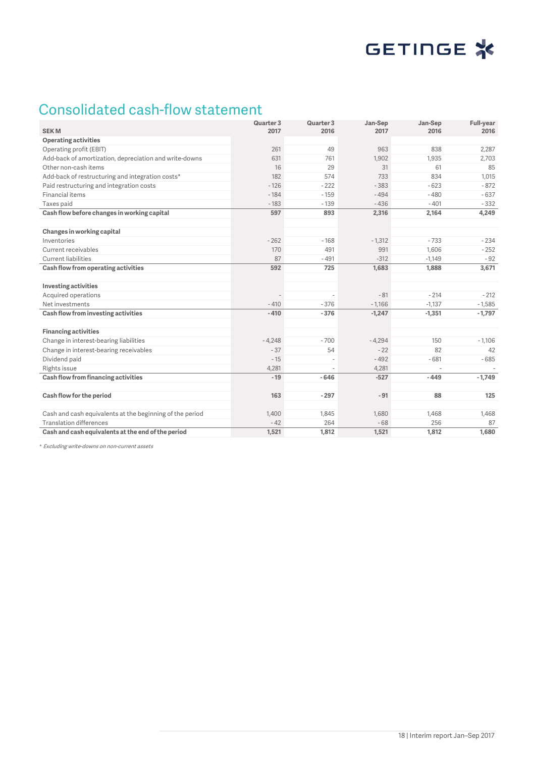

## Consolidated cash-flow statement

| <b>SEKM</b>                                              | Quarter 3<br>2017 | Quarter 3<br>2016 | Jan-Sep<br>2017 | Jan-Sep<br>2016 | Full-year<br>2016 |
|----------------------------------------------------------|-------------------|-------------------|-----------------|-----------------|-------------------|
| <b>Operating activities</b>                              |                   |                   |                 |                 |                   |
| Operating profit (EBIT)                                  | 261               | 49                | 963             | 838             | 2,287             |
| Add-back of amortization, depreciation and write-downs   | 631               | 761               | 1.902           | 1,935           | 2.703             |
| Other non-cash items                                     | 16                | 29                | 31              | 61              | 85                |
| Add-back of restructuring and integration costs*         | 182               | 574               | 733             | 834             | 1,015             |
| Paid restructuring and integration costs                 | $-126$            | $-222$            | $-383$          | $-623$          | $-872$            |
| Financial items                                          | $-184$            | $-159$            | $-494$          | $-480$          | $-637$            |
| Taxes paid                                               | $-183$            | $-139$            | $-436$          | $-401$          | $-332$            |
| Cash flow before changes in working capital              | 597               | 893               | 2,316           | 2,164           | 4,249             |
|                                                          |                   |                   |                 |                 |                   |
| Changes in working capital                               |                   |                   |                 |                 |                   |
| Inventories                                              | $-262$            | $-168$            | $-1,312$        | $-733$          | $-234$            |
| Current receivables                                      | 170               | 491               | 991             | 1,606           | $-252$            |
| <b>Current liabilities</b>                               | 87                | $-491$            | $-312$          | $-1,149$        | $-92$             |
| Cash flow from operating activities                      | 592               | 725               | 1.683           | 1,888           | 3,671             |
|                                                          |                   |                   |                 |                 |                   |
| <b>Investing activities</b>                              |                   |                   |                 |                 |                   |
| Acquired operations                                      |                   |                   | $-81$           | $-214$          | $-212$            |
| Net investments                                          | $-410$            | $-376$            | $-1.166$        | $-1,137$        | $-1,585$          |
| Cash flow from investing activities                      | $-410$            | $-376$            | $-1,247$        | $-1,351$        | $-1,797$          |
|                                                          |                   |                   |                 |                 |                   |
| <b>Financing activities</b>                              |                   |                   |                 |                 |                   |
| Change in interest-bearing liabilities                   | $-4,248$          | $-700$            | $-4,294$        | 150             | $-1,106$          |
| Change in interest-bearing receivables                   | $-37$             | 54                | $-22$           | 82              | 42                |
| Dividend paid                                            | $-15$             |                   | $-492$          | $-681$          | $-685$            |
| Rights issue                                             | 4,281             |                   | 4,281           |                 |                   |
| Cash flow from financing activities                      | $-19$             | $-646$            | $-527$          | $-449$          | $-1,749$          |
|                                                          |                   |                   |                 |                 |                   |
| Cash flow for the period                                 | 163               | $-297$            | $-91$           | 88              | 125               |
| Cash and cash equivalents at the beginning of the period | 1,400             | 1,845             | 1,680           | 1,468           | 1,468             |
| <b>Translation differences</b>                           | $-42$             | 264               | $-68$           | 256             | 87                |
| Cash and cash equivalents at the end of the period       | 1,521             | 1,812             | 1,521           | 1,812           | 1,680             |

*\** Excluding write-downs on non-current assets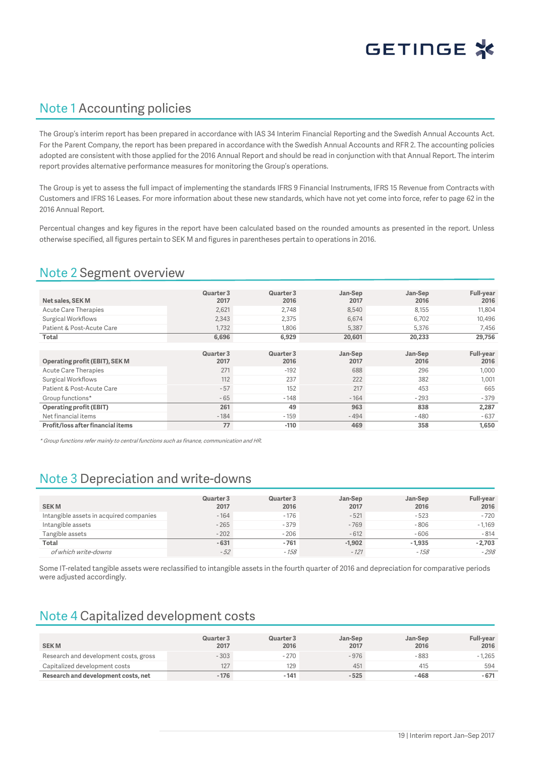

## Note 1 Accounting policies

The Group's interim report has been prepared in accordance with IAS 34 Interim Financial Reporting and the Swedish Annual Accounts Act. For the Parent Company, the report has been prepared in accordance with the Swedish Annual Accounts and RFR 2. The accounting policies adopted are consistent with those applied for the 2016 Annual Report and should be read in conjunction with that Annual Report. The interim report provides alternative performance measures for monitoring the Group's operations.

The Group is yet to assess the full impact of implementing the standards IFRS 9 Financial Instruments, IFRS 15 Revenue from Contracts with Customers and IFRS 16 Leases. For more information about these new standards, which have not yet come into force, refer to page 62 in the 2016 Annual Report.

Percentual changes and key figures in the report have been calculated based on the rounded amounts as presented in the report. Unless otherwise specified, all figures pertain to SEK M and figures in parentheses pertain to operations in 2016.

## Note 2 Segment overview

|                                | Quarter 3 | Quarter 3 | Jan-Sep | Jan-Sep | <b>Full-year</b> |
|--------------------------------|-----------|-----------|---------|---------|------------------|
| Net sales, SEK M               | 2017      | 2016      | 2017    | 2016    | 2016             |
| <b>Acute Care Therapies</b>    | 2,621     | 2.748     | 8,540   | 8,155   | 11,804           |
| Surgical Workflows             | 2.343     | 2.375     | 6.674   | 6.702   | 10.496           |
| Patient & Post-Acute Care      | 1.732     | 1.806     | 5,387   | 5,376   | 7,456            |
| Total                          | 6,696     | 6,929     | 20,601  | 20,233  | 29,756           |
|                                |           |           |         |         |                  |
|                                | Quarter 3 | Quarter 3 | Jan-Sep | Jan-Sep | <b>Full-year</b> |
| Operating profit (EBIT), SEK M | 2017      | 2016      | 2017    | 2016    | 2016             |
|                                |           |           |         |         |                  |
| Acute Care Therapies           | 271       | $-192$    | 688     | 296     | 1,000            |
| Surgical Workflows             | 112       | 237       | 222     | 382     | 1,001            |
| Patient & Post-Acute Care      | $-57$     | 152       | 217     | 453     | 665              |
| Group functions*               | $-65$     | $-148$    | $-164$  | $-293$  | $-379$           |
| <b>Operating profit (EBIT)</b> | 261       | 49        | 963     | 838     | 2,287            |
| Net financial items            | $-184$    | $-159$    | $-494$  | $-480$  | $-637$           |

\* Group functions refer mainly to central functions such as finance, communication and HR.

## Note 3 Depreciation and write-downs

| <b>SEKM</b>                             | Quarter 3<br>2017 | Quarter 3<br>2016 | Jan-Sep<br>2017 | Jan-Sep<br>2016 | Full-year<br>2016 |
|-----------------------------------------|-------------------|-------------------|-----------------|-----------------|-------------------|
| Intangible assets in acquired companies | $-164$            | $-176$            | $-521$          | $-523$          | $-720$            |
| Intangible assets                       | $-265$            | $-379$            | $-769$          | $-806$          | $-1.169$          |
| Tangible assets                         | $-202$            | $-206$            | $-612$          | $-606$          | $-814$            |
| <b>Total</b>                            | $-631$            | $-761$            | $-1,902$        | $-1,935$        | $-2,703$          |
| of which write-downs                    | $-52$             | $-158$            | $-121$          | $-158$          | $-298$            |

Some IT-related tangible assets were reclassified to intangible assets in the fourth quarter of 2016 and depreciation for comparative periods were adjusted accordingly.

## Note 4 Capitalized development costs

| <b>SEKM</b>                           | Quarter 3<br>2017 | Quarter 3<br>2016 | Jan-Sep<br>2017 | Jan-Sep<br>2016 | <b>Full-year</b><br>2016 |
|---------------------------------------|-------------------|-------------------|-----------------|-----------------|--------------------------|
| Research and development costs, gross | $-303$            | $-270$            | $-976$          | $-883$          | $-1,265$                 |
| Capitalized development costs         | 127               | 129               | 451             | 415             | 594                      |
| Research and development costs, net   | $-176$            | $-141$            | $-525$          | $-468$          | $-671$                   |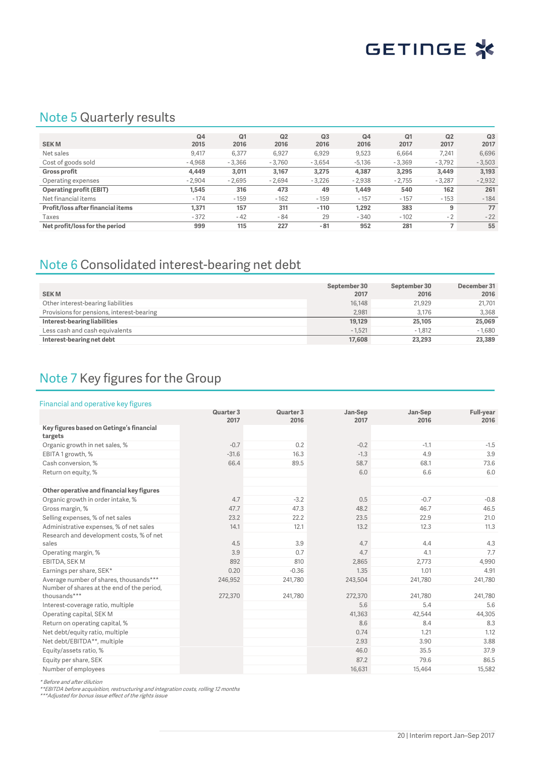

## Note 5 Quarterly results

|                                   | Q <sub>4</sub> | Q1       | Q2       | Q <sub>3</sub> | Q <sub>4</sub> | Q <sub>1</sub> | Q <sub>2</sub> | Q <sub>3</sub> |
|-----------------------------------|----------------|----------|----------|----------------|----------------|----------------|----------------|----------------|
| <b>SEKM</b>                       | 2015           | 2016     | 2016     | 2016           | 2016           | 2017           | 2017           | 2017           |
| Net sales                         | 9.417          | 6,377    | 6,927    | 6,929          | 9,523          | 6.664          | 7.241          | 6,696          |
| Cost of goods sold                | $-4,968$       | $-3.366$ | $-3.760$ | $-3.654$       | $-5.136$       | $-3,369$       | $-3,792$       | $-3,503$       |
| <b>Gross profit</b>               | 4,449          | 3,011    | 3,167    | 3,275          | 4,387          | 3,295          | 3,449          | 3,193          |
| Operating expenses                | $-2.904$       | $-2.695$ | $-2,694$ | $-3,226$       | $-2,938$       | $-2.755$       | $-3.287$       | $-2,932$       |
| <b>Operating profit (EBIT)</b>    | 1.545          | 316      | 473      | 49             | 1.449          | 540            | 162            | 261            |
| Net financial items               | $-174$         | $-159$   | $-162$   | $-159$         | $-157$         | $-157$         | $-153$         | $-184$         |
| Profit/loss after financial items | 1.371          | 157      | 311      | $-110$         | 1.292          | 383            | 9              | 77             |
| Taxes                             | $-372$         | $-42$    | $-84$    | 29             | $-340$         | $-102$         | $-2$           | $-22$          |
| Net profit/loss for the period    | 999            | 115      | 227      | $-81$          | 952            | 281            |                | 55             |

## Note 6 Consolidated interest-bearing net debt

| <b>SEKM</b>                               | September 30<br>2017 | September 30<br>2016 | December 31<br>2016 |
|-------------------------------------------|----------------------|----------------------|---------------------|
| Other interest-bearing liabilities        | 16,148               | 21.929               | 21,701              |
| Provisions for pensions, interest-bearing | 2.981                | 3.176                | 3.368               |
| Interest-bearing liabilities              | 19,129               | 25,105               | 25,069              |
| Less cash and cash equivalents            | $-1.521$             | $-1.812$             | $-1.680$            |
| Interest-bearing net debt                 | 17,608               | 23,293               | 23,389              |

## Note 7 Key figures for the Group

### Financial and operative key figures

|                                                            | Quarter 3<br>2017 | Quarter 3<br>2016 | Jan-Sep<br>2017 | Jan-Sep<br>2016 | <b>Full-year</b><br>2016 |
|------------------------------------------------------------|-------------------|-------------------|-----------------|-----------------|--------------------------|
| Key figures based on Getinge's financial<br>targets        |                   |                   |                 |                 |                          |
| Organic growth in net sales, %                             | $-0.7$            | 0.2               | $-0.2$          | $-1.1$          | $-1.5$                   |
| EBITA 1 growth, %                                          | $-31.6$           | 16.3              | $-1.3$          | 4.9             | 3.9                      |
| Cash conversion, %                                         | 66.4              | 89.5              | 58.7            | 68.1            | 73.6                     |
| Return on equity, %                                        |                   |                   | 6.0             | 6.6             | 6.0                      |
| Other operative and financial key figures                  |                   |                   |                 |                 |                          |
| Organic growth in order intake, %                          | 4.7               | $-3.2$            | 0.5             | $-0.7$          | $-0.8$                   |
| Gross margin, %                                            | 47.7              | 47.3              | 48.2            | 46.7            | 46.5                     |
| Selling expenses, % of net sales                           | 23.2              | 22.2              | 23.5            | 22.9            | 21.0                     |
| Administrative expenses, % of net sales                    | 14.1              | 12.1              | 13.2            | 12.3            | 11.3                     |
| Research and development costs, % of net<br>sales          | 4.5               | 3.9               | 4.7             | 4.4             | 4.3                      |
| Operating margin, %                                        | 3.9               | 0.7               | 4.7             | 4.1             | 7.7                      |
| EBITDA, SEK M                                              | 892               | 810               | 2,865           | 2,773           | 4,990                    |
| Earnings per share, SEK*                                   | 0.20              | $-0.36$           | 1.35            | 1.01            | 4.91                     |
| Average number of shares, thousands***                     | 246,952           | 241,780           | 243,504         | 241,780         | 241,780                  |
| Number of shares at the end of the period,<br>thousands*** | 272,370           | 241,780           | 272,370         | 241,780         | 241,780                  |
| Interest-coverage ratio, multiple                          |                   |                   | 5.6             | 5.4             | 5.6                      |
| Operating capital, SEK M                                   |                   |                   | 41,363          | 42,544          | 44,305                   |
| Return on operating capital, %                             |                   |                   | 8.6             | 8.4             | 8.3                      |
| Net debt/equity ratio, multiple                            |                   |                   | 0.74            | 1.21            | 1.12                     |
| Net debt/EBITDA**, multiple                                |                   |                   | 2.93            | 3.90            | 3.88                     |
| Equity/assets ratio, %                                     |                   |                   | 46.0            | 35.5            | 37.9                     |
| Equity per share, SEK                                      |                   |                   | 87.2            | 79.6            | 86.5                     |
| Number of employees                                        |                   |                   | 16,631          | 15,464          | 15,582                   |

\* Before and after dilution<br>\*\*EBITDA before acquisition, restructuring and integration costs, rolling 12 months<br>\*\*\*Adjusted for bonus issue effect of the rights issue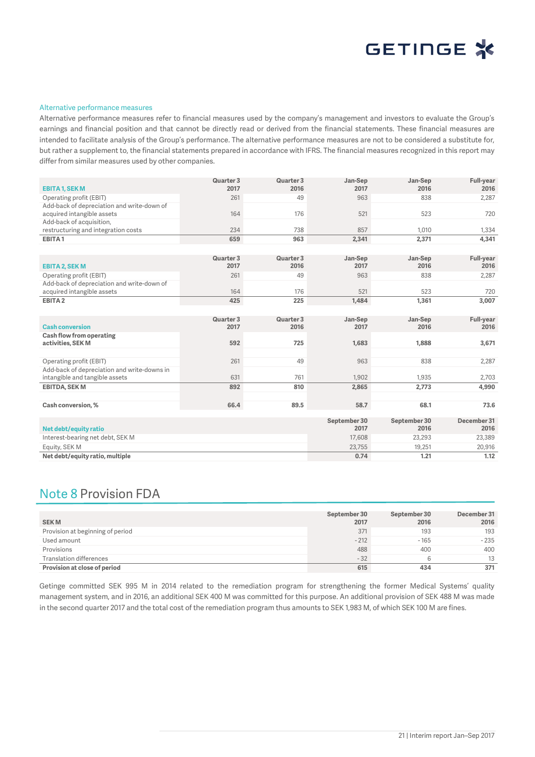

#### Alternative performance measures

Alternative performance measures refer to financial measures used by the company's management and investors to evaluate the Group's earnings and financial position and that cannot be directly read or derived from the financial statements. These financial measures are intended to facilitate analysis of the Group's performance. The alternative performance measures are not to be considered a substitute for, but rather a supplement to, the financial statements prepared in accordance with IFRS. The financial measures recognized in this report may differ from similar measures used by other companies.

|                                             | Quarter 3 | Quarter 3 | Jan-Sep      | Jan-Sep      | <b>Full-year</b> |
|---------------------------------------------|-----------|-----------|--------------|--------------|------------------|
| <b>EBITA 1, SEK M</b>                       | 2017      | 2016      | 2017         | 2016         | 2016             |
| Operating profit (EBIT)                     | 261       | 49        | 963          | 838          | 2,287            |
| Add-back of depreciation and write-down of  |           |           |              |              |                  |
| acquired intangible assets                  | 164       | 176       | 521          | 523          | 720              |
| Add-back of acquisition,                    |           |           |              |              |                  |
| restructuring and integration costs         | 234       | 738       | 857          | 1,010        | 1,334            |
| EBITA1                                      | 659       | 963       | 2,341        | 2,371        | 4,341            |
|                                             |           |           |              |              |                  |
|                                             | Quarter 3 | Quarter 3 | Jan-Sep      | Jan-Sep      | Full-year        |
| <b>EBITA 2, SEK M</b>                       | 2017      | 2016      | 2017         | 2016         | 2016             |
| Operating profit (EBIT)                     | 261       | 49        | 963          | 838          | 2,287            |
| Add-back of depreciation and write-down of  |           |           |              |              |                  |
| acquired intangible assets                  | 164       | 176       | 521          | 523          | 720              |
| EBITA <sub>2</sub>                          | 425       | 225       | 1,484        | 1,361        | 3,007            |
|                                             |           |           |              |              |                  |
|                                             | Quarter 3 | Quarter 3 | Jan-Sep      | Jan-Sep      | <b>Full-year</b> |
| <b>Cash conversion</b>                      | 2017      | 2016      | 2017         | 2016         | 2016             |
| <b>Cash flow from operating</b>             |           |           |              |              |                  |
| activities, SEK M                           | 592       | 725       | 1,683        | 1,888        | 3,671            |
|                                             |           |           |              |              |                  |
| Operating profit (EBIT)                     | 261       | 49        | 963          | 838          | 2,287            |
| Add-back of depreciation and write-downs in |           |           |              |              |                  |
| intangible and tangible assets              | 631       | 761       | 1,902        | 1,935        | 2,703            |
| <b>EBITDA, SEK M</b>                        | 892       | 810       | 2,865        | 2,773        | 4,990            |
|                                             |           |           |              |              |                  |
| Cash conversion, %                          | 66.4      | 89.5      | 58.7         | 68.1         | 73.6             |
|                                             |           |           | September 30 | September 30 | December 31      |
| Net debt/equity ratio                       |           |           | 2017         | 2016         | 2016             |
| Interest-bearing net debt, SEK M            |           |           | 17,608       | 23,293       | 23,389           |
| Equity, SEK M                               |           |           | 23,755       | 19,251       | 20,916           |
| Net debt/equity ratio, multiple             |           |           | 0.74         | 1.21         | 1.12             |
|                                             |           |           |              |              |                  |

## Note 8 Provision FDA

| <b>SEKM</b>                      | September 30<br>2017 | September 30<br>2016 | December 31<br>2016 |
|----------------------------------|----------------------|----------------------|---------------------|
| Provision at beginning of period | 371                  | 193                  | 193                 |
| Used amount                      | $-212$               | $-165$               | $-235$              |
| Provisions                       | 488                  | 400                  | 400                 |
| Translation differences          | $-32$                | b                    | 13                  |
| Provision at close of period     | 615                  | 434                  | 371                 |

Getinge committed SEK 995 M in 2014 related to the remediation program for strengthening the former Medical Systems' quality management system, and in 2016, an additional SEK 400 M was committed for this purpose. An additional provision of SEK 488 M was made in the second quarter 2017 and the total cost of the remediation program thus amounts to SEK 1,983 M, of which SEK 100 M are fines.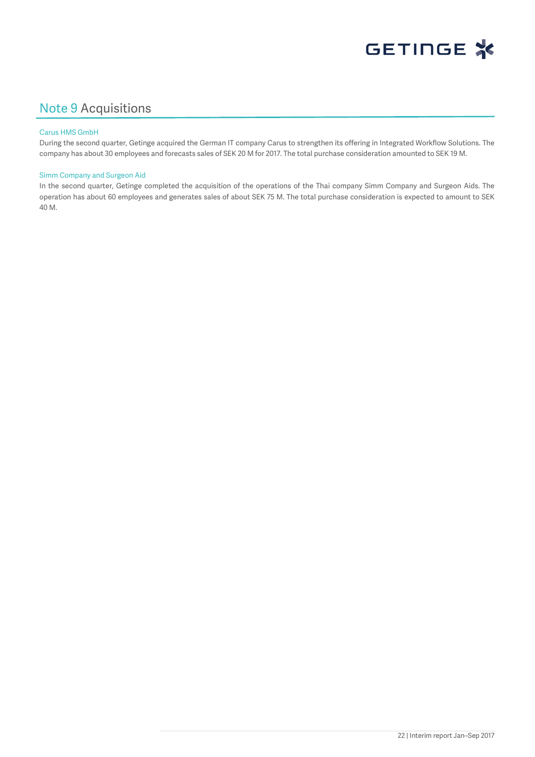

## Note 9 Acquisitions

### Carus HMS GmbH

During the second quarter, Getinge acquired the German IT company Carus to strengthen its offering in Integrated Workflow Solutions. The company has about 30 employees and forecasts sales of SEK 20 M for 2017. The total purchase consideration amounted to SEK 19 M.

### Simm Company and Surgeon Aid

In the second quarter, Getinge completed the acquisition of the operations of the Thai company Simm Company and Surgeon Aids. The operation has about 60 employees and generates sales of about SEK 75 M. The total purchase consideration is expected to amount to SEK 40 M.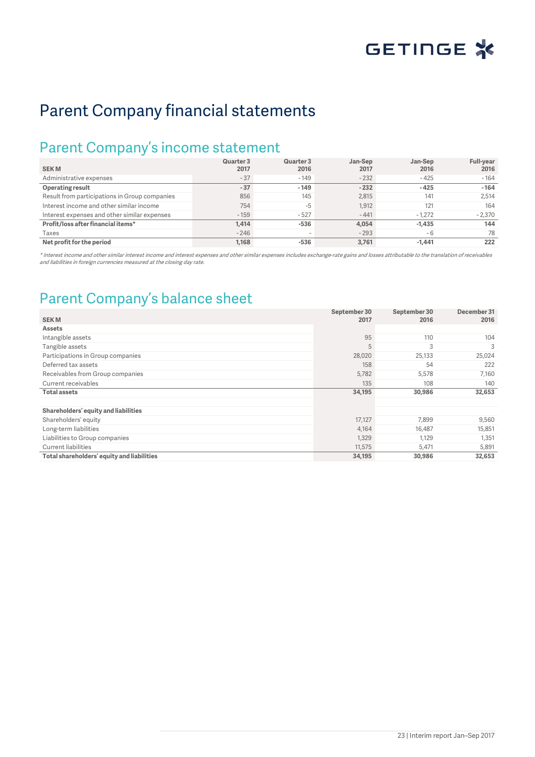

## Parent Company financial statements

## Parent Company's income statement

| <b>SEKM</b>                                   | Quarter 3<br>2017 | Quarter 3<br>2016 | Jan-Sep<br>2017 | Jan-Sep<br>2016 | <b>Full-year</b><br>2016 |
|-----------------------------------------------|-------------------|-------------------|-----------------|-----------------|--------------------------|
| Administrative expenses                       | $-37$             | $-149$            | $-232$          | $-425$          | $-164$                   |
| <b>Operating result</b>                       | $-37$             | $-149$            | $-232$          | $-425$          | $-164$                   |
| Result from participations in Group companies | 856               | 145               | 2,815           | 141             | 2.514                    |
| Interest income and other similar income      | 754               | $-5$              | 1,912           | 121             | 164                      |
| Interest expenses and other similar expenses  | $-159$            | $-527$            | $-441$          | $-1.272$        | $-2.370$                 |
| Profit/loss after financial items*            | 1.414             | $-536$            | 4.054           | $-1.435$        | 144                      |
| Taxes                                         | $-246$            | $\,$              | $-293$          | - 6             | 78                       |
| Net profit for the period                     | 1.168             | $-536$            | 3.761           | $-1.441$        | 222                      |

\* Interest income and other similar interest income and interest expenses and other similar expenses includes exchange-rate gains and losses attributable to the translation of receivables and liabilities in foreign currencies measured at the closing day rate.

## Parent Company's balance sheet

|                                            | September 30 | September 30 | December 31 |
|--------------------------------------------|--------------|--------------|-------------|
| <b>SEKM</b>                                | 2017         | 2016         | 2016        |
| <b>Assets</b>                              |              |              |             |
| Intangible assets                          | 95           | 110          | 104         |
| Tangible assets                            | 5            | 3            | 3           |
| Participations in Group companies          | 28,020       | 25,133       | 25,024      |
| Deferred tax assets                        | 158          | 54           | 222         |
| Receivables from Group companies           | 5,782        | 5,578        | 7,160       |
| Current receivables                        | 135          | 108          | 140         |
| Total assets                               | 34,195       | 30,986       | 32,653      |
|                                            |              |              |             |
| Shareholders' equity and liabilities       |              |              |             |
| Shareholders' equity                       | 17,127       | 7,899        | 9,560       |
| Long-term liabilities                      | 4,164        | 16,487       | 15,851      |
| Liabilities to Group companies             | 1,329        | 1.129        | 1,351       |
| <b>Current liabilities</b>                 | 11,575       | 5,471        | 5,891       |
| Total shareholders' equity and liabilities | 34,195       | 30,986       | 32,653      |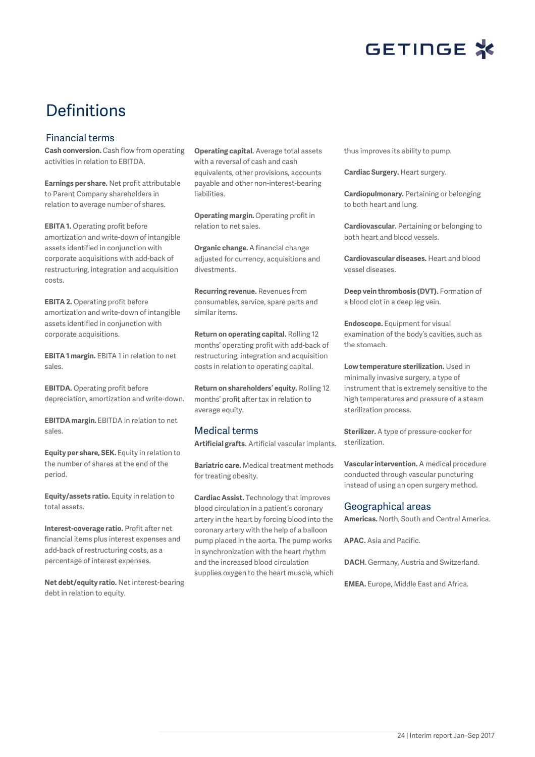

# Definitions

## Financial terms

**Cash conversion.** Cash flow from operating activities in relation to EBITDA.

**Earnings per share.** Net profit attributable to Parent Company shareholders in relation to average number of shares.

**EBITA 1.** Operating profit before amortization and write-down of intangible assets identified in conjunction with corporate acquisitions with add-back of restructuring, integration and acquisition costs.

**EBITA 2.** Operating profit before amortization and write-down of intangible assets identified in conjunction with corporate acquisitions.

**EBITA 1 margin.** EBITA 1 in relation to net sales.

**EBITDA.** Operating profit before depreciation, amortization and write-down.

**EBITDA margin.** EBITDA in relation to net sales.

**Equity per share, SEK.** Equity in relation to the number of shares at the end of the period.

**Equity/assets ratio.** Equity in relation to total assets.

**Interest-coverage ratio.** Profit after net financial items plus interest expenses and add-back of restructuring costs, as a percentage of interest expenses.

**Net debt/equity ratio.** Net interest-bearing debt in relation to equity.

**Operating capital.** Average total assets with a reversal of cash and cash equivalents, other provisions, accounts payable and other non-interest-bearing liabilities.

**Operating margin.** Operating profit in relation to net sales.

**Organic change.** A financial change adjusted for currency, acquisitions and divestments.

**Recurring revenue.** Revenues from consumables, service, spare parts and similar items.

**Return on operating capital.** Rolling 12 months' operating profit with add-back of restructuring, integration and acquisition costs in relation to operating capital.

**Return on shareholders' equity.** Rolling 12 months' profit after tax in relation to average equity.

## Medical terms

**Artificial grafts.** Artificial vascular implants.

**Bariatric care.** Medical treatment methods for treating obesity.

**Cardiac Assist.** Technology that improves blood circulation in a patient's coronary artery in the heart by forcing blood into the coronary artery with the help of a balloon pump placed in the aorta. The pump works in synchronization with the heart rhythm and the increased blood circulation supplies oxygen to the heart muscle, which thus improves its ability to pump.

**Cardiac Surgery.** Heart surgery.

**Cardiopulmonary.** Pertaining or belonging to both heart and lung.

**Cardiovascular.** Pertaining or belonging to both heart and blood vessels.

**Cardiovascular diseases.** Heart and blood vessel diseases.

**Deep vein thrombosis (DVT).** Formation of a blood clot in a deep leg vein.

**Endoscope.** Equipment for visual examination of the body's cavities, such as the stomach.

**Low temperature sterilization.** Used in minimally invasive surgery, a type of instrument that is extremely sensitive to the high temperatures and pressure of a steam sterilization process.

**Sterilizer.** A type of pressure-cooker for sterilization.

**Vascular intervention.** A medical procedure conducted through vascular puncturing instead of using an open surgery method.

## Geographical areas

**Americas.** North, South and Central America.

**APAC.** Asia and Pacific.

**DACH**. Germany, Austria and Switzerland.

**EMEA.** Europe, Middle East and Africa.